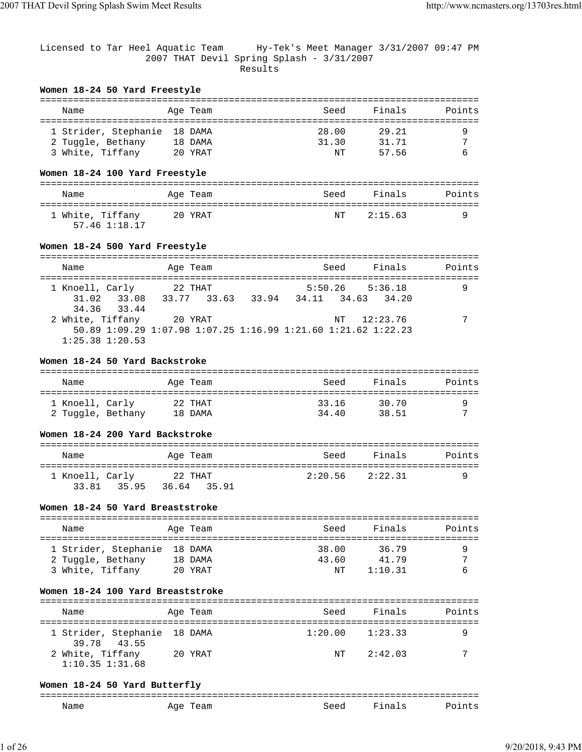Licensed to Tar Heel Aquatic Team Hy-Tek's Meet Manager 3/31/2007 09:47 PM 2007 THAT Devil Spring Splash - 3/31/2007 Results

#### **Women 18-24 50 Yard Freestyle**

| Name                 | Age Team | Seed  | Finals | Points |
|----------------------|----------|-------|--------|--------|
| 1 Strider, Stephanie | 18 DAMA  | 28.00 | 29.21  |        |
| 2 Tuggle, Bethany    | 18 DAMA  | 31.30 | 31.71  |        |
| 3 White, Tiffany     | 20 YRAT  | NΤ    | 57 56  |        |

## **Women 18-24 100 Yard Freestyle**

| Name                              | Age Team | Seed | Finals     | Points |
|-----------------------------------|----------|------|------------|--------|
| 1 White, Tiffany<br>57.46 1:18.17 | 20 YRAT  |      | NT 2:15.63 |        |

## **Women 18-24 500 Yard Freestyle**

| Name                                          | Age Team                                                                 | Seed                                           | Finals      | Points |
|-----------------------------------------------|--------------------------------------------------------------------------|------------------------------------------------|-------------|--------|
| 1 Knoell, Carly<br>31.02 33.08<br>34.36 33.44 | 22 THAT<br>33.77 33.63                                                   | $5:50.26$ $5:36.18$<br>33.94 34.11 34.63 34.20 |             |        |
| 2 White, Tiffany<br>$1:25.38$ $1:20.53$       | 20 YRAT<br>50.89 1:09.29 1:07.98 1:07.25 1:16.99 1:21.60 1:21.62 1:22.23 |                                                | NT 12:23.76 |        |

#### **Women 18-24 50 Yard Backstroke**

| Name              | Age Team | Seed  | Finals | Points |
|-------------------|----------|-------|--------|--------|
| 1 Knoell, Carly   | 22 THAT  | 33.16 | 30.70  |        |
| 2 Tuggle, Bethany | 18 DAMA  | 3440  | 38 51  | ⇁      |

#### **Women 18-24 200 Yard Backstroke**

| Name            |             | Age Team               | Seed                | Finals | Points |
|-----------------|-------------|------------------------|---------------------|--------|--------|
| 1 Knoell, Carly | 33.81 35.95 | 22 THAT<br>36.64 35.91 | $2:20.56$ $2:22.31$ |        |        |

## **Women 18-24 50 Yard Breaststroke**

| Name                 | Age Team | Seed  | Finals  | Points         |
|----------------------|----------|-------|---------|----------------|
| 1 Strider, Stephanie | 18 DAMA  | 38.00 | 36.79   |                |
| 2 Tuggle, Bethany    | 18 DAMA  | 43.60 | 41 79   | $\overline{ }$ |
| 3 White, Tiffany     | 20 YRAT  | NΤ    | 1:10.31 |                |

## **Women 18-24 100 Yard Breaststroke**

| Name                                        | Age Team | Seed | Finals              | Points |
|---------------------------------------------|----------|------|---------------------|--------|
| 1 Strider, Stephanie 18 DAMA<br>39.78 43.55 |          |      | $1:20.00$ $1:23.33$ |        |
| 2 White, Tiffany<br>$1:10.35$ $1:31.68$     | 20 YRAT  | NT   | 2:42.03             | 7      |

### **Women 18-24 50 Yard Butterfly**

| ---          |                         |         |    |                          |
|--------------|-------------------------|---------|----|--------------------------|
| $-1$<br>Name | ∆α≏<br>سمد<br>__<br>___ | $-0.00$ | -- | $\overline{\phantom{a}}$ |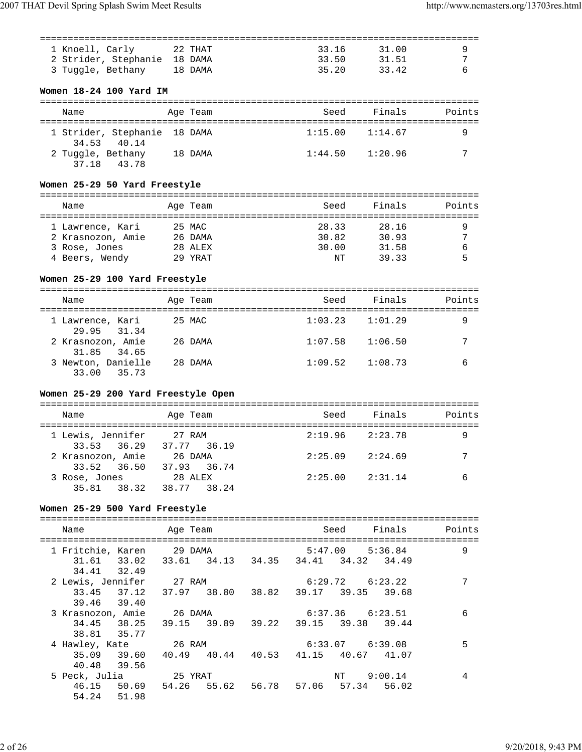| 1 Knoell, Carly              | 22 THAT | 33.16 | 31.00 |  |
|------------------------------|---------|-------|-------|--|
| 2 Strider, Stephanie 18 DAMA |         | 33.50 | 31.51 |  |
| 3 Tuggle, Bethany            | 18 DAMA | 35.20 | 3342  |  |

## **Women 18-24 100 Yard IM**

| Name              |                                             | Age Team | Seed    | Finals              | Points |
|-------------------|---------------------------------------------|----------|---------|---------------------|--------|
|                   | 1 Strider, Stephanie 18 DAMA<br>34.53 40.14 |          |         | $1:15.00$ $1:14.67$ |        |
| 2 Tuggle, Bethany | 37.18 43.78                                 | 18 DAMA  | 1:44.50 | 1:20.96             |        |

## **Women 25-29 50 Yard Freestyle**

| Name              | Age Team | Seed  | Finals | Points |
|-------------------|----------|-------|--------|--------|
| 1 Lawrence, Kari  | 25 MAC   | 28.33 | 28.16  |        |
| 2 Krasnozon, Amie | 26 DAMA  | 30.82 | 30.93  | ⇁      |
| 3 Rose, Jones     | 28 ALEX  | 30.00 | 31.58  |        |
| 4 Beers, Wendy    | 29 YRAT  | NΤ    | 39.33  |        |

## **Women 25-29 100 Yard Freestyle**

| Name                              | Age Team | Seed    | Finals  | Points |
|-----------------------------------|----------|---------|---------|--------|
| 1 Lawrence, Kari<br>29.95 31.34   | 25 MAC   | 1:03.23 | 1:01.29 | 9      |
| 2 Krasnozon, Amie<br>31.85 34.65  | 26 DAMA  | 1:07.58 | 1:06.50 | 7      |
| 3 Newton, Danielle<br>33.00 35.73 | 28 DAMA  | 1:09.52 | 1:08.73 | 6      |

## **Women 25-29 200 Yard Freestyle Open**

| Name                               | Age Team               | Seed                | Finals  | Points |
|------------------------------------|------------------------|---------------------|---------|--------|
| 1 Lewis, Jennifer<br>33.53 36.29   | 27 RAM<br>37.77 36.19  | $2:19.96$ $2:23.78$ |         | 9      |
| 2 Krasnozon, Amie<br>33.52 36.50   | 26 DAMA<br>37.93 36.74 | 2:25.09             | 2:24.69 | 7      |
| 3 Rose, Jones<br>35.81 38.32 38.77 | 28 ALEX<br>38.24       | $2:25.00$ $2:31.14$ |         |        |

## **Women 25-29 500 Yard Freestyle**

| Name                      |       | Age Team |  |         | Seed Finals                                     | Points |
|---------------------------|-------|----------|--|---------|-------------------------------------------------|--------|
| 1 Fritchie, Karen 29 DAMA |       |          |  | 5:47.00 | 5:36.84                                         | 9      |
| 34.41 32.49               |       |          |  |         | 31.61 33.02 33.61 34.13 34.35 34.41 34.32 34.49 |        |
| 2 Lewis, Jennifer         |       | 27 RAM   |  |         | $6:29.72$ $6:23.22$                             | 7      |
| 39.46 39.40               |       |          |  |         | 33.45 37.12 37.97 38.80 38.82 39.17 39.35 39.68 |        |
|                           |       |          |  |         | 6:37.36 6:23.51                                 | 6      |
| 3 Krasnozon, Amie 26 DAMA |       |          |  |         |                                                 |        |
| 38.81 35.77               |       |          |  |         | 34.45 38.25 39.15 39.89 39.22 39.15 39.38 39.44 |        |
| 4 Hawley, Kate 26 RAM     |       |          |  |         | 6:33.07 6:39.08                                 | 5      |
| 40.48 39.56               |       |          |  |         | 35.09 39.60 40.49 40.44 40.53 41.15 40.67 41.07 |        |
|                           |       |          |  |         |                                                 |        |
| 5 Peck, Julia 25 YRAT     |       |          |  | NT      | 9:00.14                                         | 4      |
| 54.24                     | 51.98 |          |  |         | 46.15 50.69 54.26 55.62 56.78 57.06 57.34 56.02 |        |
|                           |       |          |  |         |                                                 |        |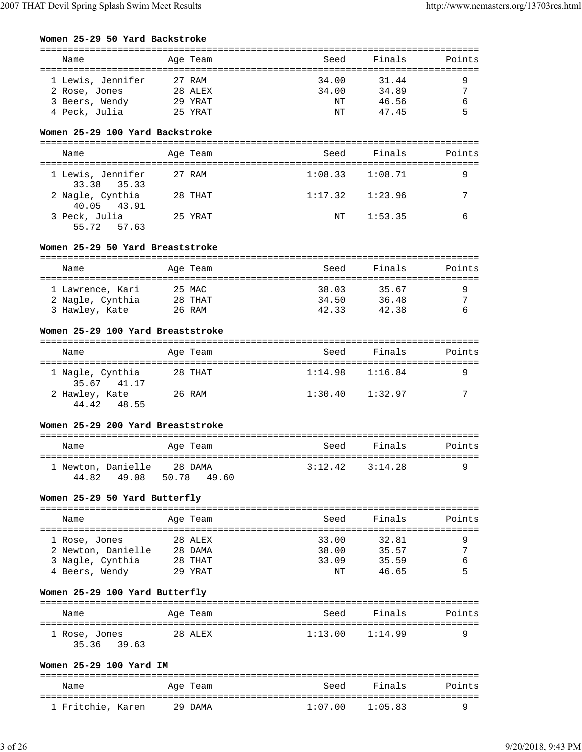#### **Women 25-29 50 Yard Backstroke**

| Name              | Age Team | Seed  | Finals | Points         |
|-------------------|----------|-------|--------|----------------|
| 1 Lewis, Jennifer | 27 RAM   | 34.00 | 31.44  |                |
| 2 Rose, Jones     | 28 ALEX  | 34.00 | 34.89  | $\overline{ }$ |
| 3 Beers, Wendy    | 29 YRAT  | NT    | 46.56  |                |
| 4 Peck, Julia     | 25 YRAT  | NΤ    | 47.45  |                |

#### **Women 25-29 100 Yard Backstroke**

| Name                             | Age Team | Seed    | Finals  | Points |
|----------------------------------|----------|---------|---------|--------|
| 1 Lewis, Jennifer<br>33.38 35.33 | 27 RAM   | 1:08.33 | 1:08.71 | 9      |
| 2 Nagle, Cynthia<br>40.05 43.91  | 28 THAT  | 1:17.32 | 1:23.96 | 7      |
| 3 Peck, Julia<br>55.72 57.63     | 25 YRAT  | NT.     | 1:53.35 | 6      |

#### **Women 25-29 50 Yard Breaststroke**

| Name             | Age Team | Seed  | Finals | Points |
|------------------|----------|-------|--------|--------|
| 1 Lawrence, Kari | 25 MAC   | 38.03 | 35.67  |        |
| 2 Nagle, Cynthia | 28 THAT  | 34.50 | 36.48  | ⇁      |
| 3 Hawley, Kate   | 26 RAM   | 42.33 | 42.38  |        |

#### **Women 25-29 100 Yard Breaststroke**

| Name                            | Age Team | Seed    | Finals  | Points |  |
|---------------------------------|----------|---------|---------|--------|--|
| 1 Nagle, Cynthia<br>35.67 41.17 | 28 THAT  | 1:14.98 | 1:16.84 |        |  |
| 2 Hawley, Kate<br>44.42 48.55   | 26 RAM   | 1:30.40 | 1:32.97 | ⇁      |  |

### **Women 25-29 200 Yard Breaststroke**

| Name                                 | Age Team               | Seed | Finals              | Points |
|--------------------------------------|------------------------|------|---------------------|--------|
| 1 Newton, Danielle<br>44 82<br>49.08 | 28 DAMA<br>50.78 49.60 |      | $3:12.42$ $3:14.28$ |        |

#### **Women 25-29 50 Yard Butterfly**

| Name               | Age Team | Seed  | Finals | Points |
|--------------------|----------|-------|--------|--------|
| 1 Rose, Jones      | 28 ALEX  | 33.00 | 32.81  |        |
| 2 Newton, Danielle | 28 DAMA  | 38.00 | 35.57  | 7      |
| 3 Nagle, Cynthia   | 28 THAT  | 33.09 | 35.59  | 6      |
| 4 Beers, Wendy     | 29 YRAT  | NΤ    | 46.65  | 5      |

## **Women 25-29 100 Yard Butterfly**

| Name          | Age Team | Seed                | Finals | Points |
|---------------|----------|---------------------|--------|--------|
| 1 Rose, Jones | 28 ALEX  | $1:13.00$ $1:14.99$ |        |        |
| 35.36 39.63   |          |                     |        |        |

#### **Women 25-29 100 Yard IM**

| Name              | Age Team | Seed    | Finals  | Points |
|-------------------|----------|---------|---------|--------|
| 1 Fritchie, Karen | 29 DAMA  | 1:07 00 | 1:05 83 |        |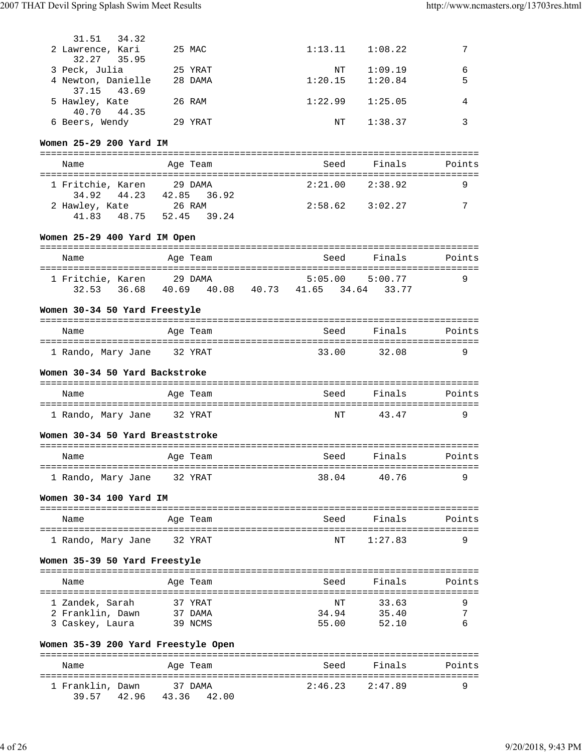| 31.51 34.32<br>2 Lawrence, Kari<br>32.27 35.95 | 25 MAC  | 1:13.11 | 1:08.22 |   |
|------------------------------------------------|---------|---------|---------|---|
| 3 Peck, Julia                                  | 25 YRAT | ΝT      | 1:09.19 | 6 |
| 4 Newton, Danielle<br>37.15 43.69              | 28 DAMA | 1:20.15 | 1:20.84 | 5 |
| 5 Hawley, Kate<br>40.70 44.35                  | 26 RAM  | 1:22.99 | 1:25.05 |   |
| 6 Beers, Wendy                                 | 29 YRAT | NΤ      | 1:38.37 |   |

## **Women 25-29 200 Yard IM**

| Name                             | Age Team                    | Seed    | Finals              | Points |  |  |
|----------------------------------|-----------------------------|---------|---------------------|--------|--|--|
| 1 Fritchie, Karen<br>34.92 44.23 | 29 DAMA<br>42.85 36.92      |         | $2:21.00$ $2:38.92$ |        |  |  |
| 2 Hawley, Kate<br>41 83          | 26 RAM<br>48.75 52.45 39.24 | 2:58.62 | 3:02.27             | 7      |  |  |

## **Women 25-29 400 Yard IM Open**

| Name              |                | Age Team |       | Seed    |         | Finals | Points |
|-------------------|----------------|----------|-------|---------|---------|--------|--------|
| 1 Fritchie, Karen |                | 29 DAMA  |       | 5:05.00 | 5:00.77 |        | Q      |
| 32.53             | 36.68<br>40.69 | 40.08    | 40.73 | 41.65   | 34.64   | 33.77  |        |

#### **Women 30-34 50 Yard Freestyle**

| Name               | Age Team | Seed  | Finals | Points |
|--------------------|----------|-------|--------|--------|
| 1 Rando, Mary Jane | 32 YRAT  | 33.00 | 32.08  |        |

#### **Women 30-34 50 Yard Backstroke**

| Name                            | Age Team | Seed | Finals | Points |
|---------------------------------|----------|------|--------|--------|
| 1 Rando, Mary Jane      32 YRAT |          | NT   | 4347   | u      |

#### **Women 30-34 50 Yard Breaststroke**

| Name               | Age Team | Seed  | Finals | Points |
|--------------------|----------|-------|--------|--------|
| 1 Rando, Mary Jane | 32 YRAT  | 38.04 | 4076   |        |

### **Women 30-34 100 Yard IM**

| Name | Age Team                       | Seed | Finals     | Points |
|------|--------------------------------|------|------------|--------|
|      | 1 Rando, Mary Jane     32 YRAT |      | NT 1:27.83 |        |

#### **Women 35-39 50 Yard Freestyle**

| Name             | Age Team | Seed  | Finals | Points         |
|------------------|----------|-------|--------|----------------|
| 1 Zandek, Sarah  | 37 YRAT  | NΤ    | 33.63  |                |
| 2 Franklin, Dawn | 37 DAMA  | 34.94 | 35.40  | $\overline{ }$ |
| 3 Caskey, Laura  | 39 NCMS  | 55.00 | 52.10  |                |

## **Women 35-39 200 Yard Freestyle Open**

| Name                      |       | Age Team               | Seed    | Finals  | Points |
|---------------------------|-------|------------------------|---------|---------|--------|
| 1 Franklin, Dawn<br>39 57 | 42.96 | 37 DAMA<br>43.36 42.00 | 2:46.23 | 2:47.89 | a      |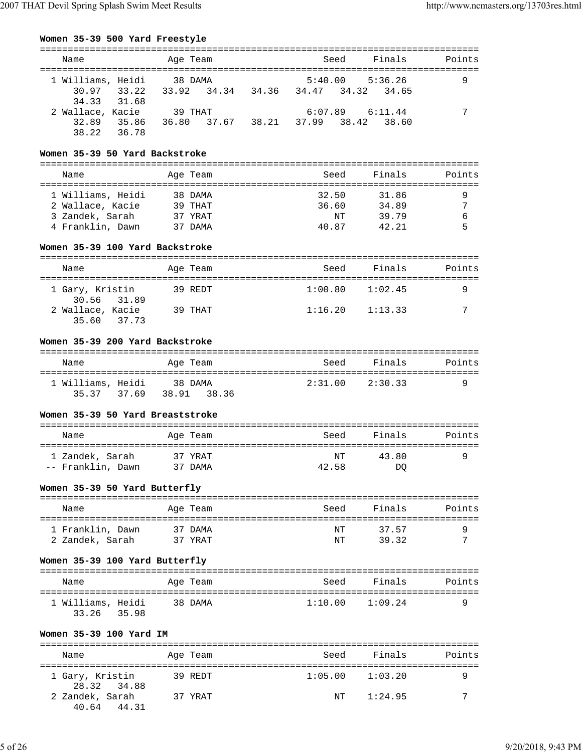| Finals<br>Seed<br>Name<br>Age Team<br>1 Williams, Heidi<br>38 DAMA<br>$5:40.00$ $5:36.26$<br>9<br>30.97 33.22<br>34, 36, 34, 47, 34, 32, 34, 65<br>33.92 34.34<br>34.33 31.68<br>39 THAT<br>2 Wallace, Kacie<br>$6:07.89$ $6:11.44$<br>32.89<br>38.21 37.99 38.42 38.60<br>35.86<br>36.80 37.67<br>38.22 36.78 |  |  |  |  |        |
|----------------------------------------------------------------------------------------------------------------------------------------------------------------------------------------------------------------------------------------------------------------------------------------------------------------|--|--|--|--|--------|
|                                                                                                                                                                                                                                                                                                                |  |  |  |  | Points |
|                                                                                                                                                                                                                                                                                                                |  |  |  |  |        |
|                                                                                                                                                                                                                                                                                                                |  |  |  |  |        |
|                                                                                                                                                                                                                                                                                                                |  |  |  |  |        |
|                                                                                                                                                                                                                                                                                                                |  |  |  |  |        |
|                                                                                                                                                                                                                                                                                                                |  |  |  |  |        |

## **Women 35-39 50 Yard Backstroke**

| Name                                                                         | Age Team                                 | Seed                          | Finals                           | Points |
|------------------------------------------------------------------------------|------------------------------------------|-------------------------------|----------------------------------|--------|
| 1 Williams, Heidi<br>2 Wallace, Kacie<br>3 Zandek, Sarah<br>4 Franklin, Dawn | 38 DAMA<br>39 THAT<br>37 YRAT<br>37 DAMA | 32.50<br>36.60<br>NΤ<br>40.87 | 31.86<br>34.89<br>39.79<br>42.21 | ⇁      |

#### **Women 35-39 100 Yard Backstroke**

| Name                            | Age Team | Seed    | Finals  | Points |
|---------------------------------|----------|---------|---------|--------|
| 1 Gary, Kristin<br>30.56 31.89  | 39 REDT  | 1:00.80 | 1:02.45 | a      |
| 2 Wallace, Kacie<br>35.60 37.73 | 39 THAT  | 1:16.20 | 1:13.33 | ⇁      |

### **Women 35-39 200 Yard Backstroke**

| Name              | Age Team    | Seed | Finals          | Points |
|-------------------|-------------|------|-----------------|--------|
| 1 Williams, Heidi | 38 DAMA     |      | 2:31.00 2:30.33 |        |
| 35.37 37.69       | 38.91 38.36 |      |                 |        |

#### **Women 35-39 50 Yard Breaststroke**

| Name              | Age Team | Seed  | Finals | Points |
|-------------------|----------|-------|--------|--------|
| 1 Zandek, Sarah   | 37 YRAT  | NT    | 43.80  |        |
| -- Franklin, Dawn | 37 DAMA  | 42.58 | DO     |        |

### **Women 35-39 50 Yard Butterfly**

| Name             | Age Team | Seed | Finals | Points |
|------------------|----------|------|--------|--------|
| 1 Franklin, Dawn | 37 DAMA  | NT   | 37 57  |        |
| 2 Zandek, Sarah  | 37 YRAT  | NΤ   | 39.32  | ⇁      |

#### **Women 35-39 100 Yard Butterfly**

| Name              | Age Team | Seed    | Finals  | Points |
|-------------------|----------|---------|---------|--------|
| 1 Williams, Heidi | 38 DAMA  | 1:10.00 | 1:09.24 |        |
| 33.26<br>35.98    |          |         |         |        |

#### **Women 35-39 100 Yard IM**

| Name                     |             | Age Team | Seed    | Finals  | Points |
|--------------------------|-------------|----------|---------|---------|--------|
| 1 Gary, Kristin          | 28.32 34.88 | 39 REDT  | 1:05.00 | 1:03.20 | a      |
| 2 Zandek, Sarah<br>40.64 | 44.31       | 37 YRAT  | NT      | 1:24.95 | ⇁      |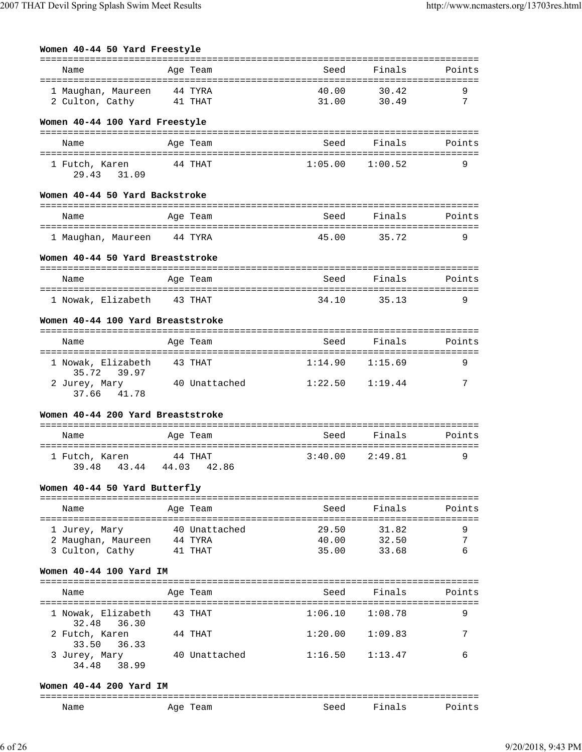| Women 40-44 50 Yard Freestyle                 |         |               |                |                    |                  |
|-----------------------------------------------|---------|---------------|----------------|--------------------|------------------|
| Name                                          |         | Age Team      | Seed           | Finals             | Points           |
| 1 Maughan, Maureen 44 TYRA<br>2 Culton, Cathy | 41 THAT |               | 40.00<br>31.00 | 30.42<br>30.49     | 9<br>$7^{\circ}$ |
| Women 40-44 100 Yard Freestyle                |         |               |                |                    |                  |
| Name                                          |         | Age Team      | Seed           | Finals             | Points           |
| 1 Futch, Karen<br>29.43 31.09                 | 44 THAT |               | 1:05.00        | 1:00.52            | 9                |
| Women 40-44 50 Yard Backstroke                |         |               |                |                    |                  |
| Name                                          |         | Age Team      |                | Seed Finals Points |                  |
| 1 Maughan, Maureen 44 TYRA                    |         |               | 45.00          | 35.72              | 9                |
| Women 40-44 50 Yard Breaststroke              |         |               |                |                    |                  |
| Name                                          |         | Age Team      | Seed           | Finals             | Points           |
| 1 Nowak, Elizabeth 43 THAT                    |         |               | 34.10          | 35.13              | 9                |
| Women 40-44 100 Yard Breaststroke             |         |               |                |                    |                  |
| Name                                          |         | Age Team      |                | Seed Finals        | Points           |
| 1 Nowak, Elizabeth<br>35.72<br>39.97          | 43 THAT |               | 1:14.90        | 1:15.69            | 9                |
| 2 Jurey, Mary 30 Unattached<br>37.66 41.78    |         |               | 1:22.50        | 1:19.44            | 7                |
| Women 40-44 200 Yard Breaststroke             |         |               |                |                    |                  |
| Name                                          |         | Age Team      |                | Seed Finals        | Points           |
| 1 Futch, Karen<br>39.48 43.44 44.03 42.86     | 44 THAT |               | 3:40.00        | 2:49.81            | 9                |
| Women 40-44 50 Yard Butterfly                 |         |               |                |                    |                  |
| Name                                          |         | Age Team      | Seed           | Finals             | Points           |
| 1 Jurey, Mary                                 |         | 40 Unattached | 29.50          | 31.82              | 9                |
| 2 Maughan, Maureen 44 TYRA                    |         |               |                | 40.00 32.50        | 7                |
| 3 Culton, Cathy 41 THAT                       |         |               | 35.00          | 33.68              | 6                |
| Women 40-44 100 Yard IM                       |         |               |                |                    |                  |
| Name                                          |         | Age Team      | Seed           | Finals             | Points           |
| 1 Nowak, Elizabeth<br>32.48<br>36.30          |         | 43 THAT       | 1:06.10        | 1:08.78            | 9                |
| 2 Futch, Karen<br>33.50<br>36.33              |         | 44 THAT       | 1:20.00        | 1:09.83            | 7                |
| 3 Jurey, Mary<br>34.48<br>38.99               |         | 40 Unattached | 1:16.50        | 1:13.47            | 6                |
|                                               |         |               |                |                    |                  |

## **Women 40-44 200 Yard IM**

| ---<br>____ |             |      |                   |  |
|-------------|-------------|------|-------------------|--|
| Name        | Age<br>eall | Seed | $\sim$ $\sim$<br> |  |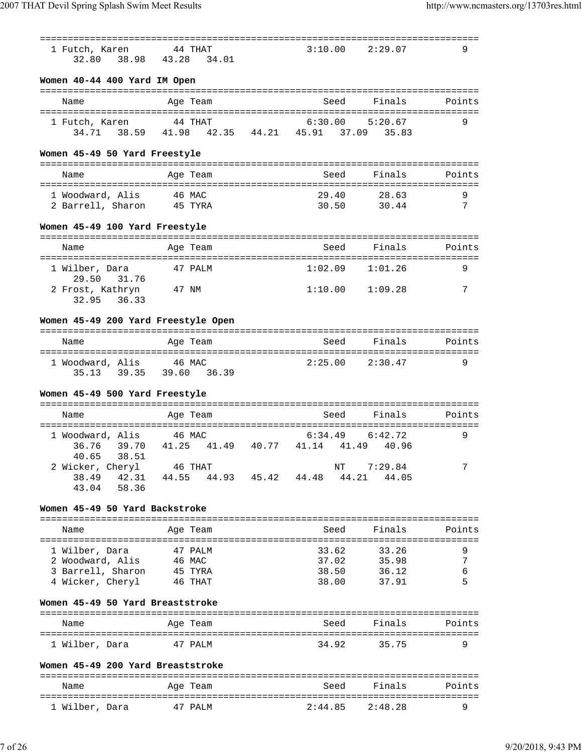| 1 Futch, Karen<br>32.80                              | 44 THAT<br>38.98 43.28 34.01                                      | 3:10.00             | 2:29.07        | 9      |
|------------------------------------------------------|-------------------------------------------------------------------|---------------------|----------------|--------|
| Women 40-44 400 Yard IM Open                         |                                                                   |                     |                |        |
| Name                                                 | Age Team                                                          | Seed                | Finals         | Points |
| 1 Futch, Karen                                       | 44 THAT<br>34.71  38.59  41.98  42.35  44.21  45.91  37.09  35.83 | $6:30.00$ $5:20.67$ |                | 9      |
| Women 45-49 50 Yard Freestyle                        |                                                                   |                     |                |        |
| Name                                                 | Age Team                                                          | Seed                | Finals         | Points |
| 1 Woodward, Alis 46 MAC                              |                                                                   | 29.40               | 28.63          | 9      |
| 2 Barrell, Sharon 45 TYRA                            |                                                                   |                     | 30.50 30.44    | 7      |
| Women 45-49 100 Yard Freestyle                       |                                                                   |                     |                |        |
| Name                                                 | Age Team                                                          | Seed                | Finals         | Points |
| 1 Wilber, Dara                                       | 47 PALM                                                           | 1:02.09             | 1:01.26        | 9      |
| 29.50 31.76<br>2 Frost, Kathryn 47 NM<br>32.95 36.33 |                                                                   | $1:10.00$ $1:09.28$ |                | 7      |
| Women 45-49 200 Yard Freestyle Open                  |                                                                   |                     |                |        |
| Name                                                 | Age Team                                                          | Seed                | Finals         | Points |
| 1 Woodward, Alis 46 MAC                              | 35.13 39.35 39.60 36.39                                           | $2:25.00$ $2:30.47$ |                | 9      |
| Women 45-49 500 Yard Freestyle                       |                                                                   |                     |                |        |
| Name                                                 | Age Team                                                          | Seed                | Finals         | Points |
| 1 Woodward, Alis 46 MAC                              |                                                                   | 6:34.49             | 6:42.72        | 9      |
| 39.70<br>36.76<br>40.65 38.51                        | 41.25 41.49 40.77 41.14 41.49 40.96                               |                     |                |        |
| 2 Wicker, Cheryl 46 THAT                             | 38.49 42.31 44.55 44.93 45.42 44.48 44.21 44.05                   |                     | NT 7:29.84     | 7      |
| 43.04 58.36                                          |                                                                   |                     |                |        |
| Women 45-49 50 Yard Backstroke                       |                                                                   |                     |                |        |
| Name                                                 | Age Team                                                          | Seed                | Finals         | Points |
| 1 Wilber, Dara                                       | 47 PALM                                                           | 33.62               | 33.26          | 9      |
| 2 Woodward, Alis                                     | 46 MAC                                                            | 37.02               | 35.98          | 7      |
| 3 Barrell, Sharon<br>4 Wicker, Cheryl 46 THAT        | 45 TYRA                                                           | 38.50<br>38.00      | 36.12<br>37.91 | 6<br>5 |
| Women 45-49 50 Yard Breaststroke                     |                                                                   |                     |                |        |
|                                                      |                                                                   |                     |                |        |
| Name                                                 | Age Team                                                          |                     | Seed Finals    | Points |
| 1 Wilber, Dara                                       | 47 PALM                                                           | 34.92               | 35.75          | 9      |
| Women 45-49 200 Yard Breaststroke                    |                                                                   |                     |                |        |
| Name                                                 | Age Team                                                          | Seed                | Finals         | Points |
| 1 Wilber, Dara                                       | 47 PALM                                                           | 2:44.85             | 2:48.28        | 9      |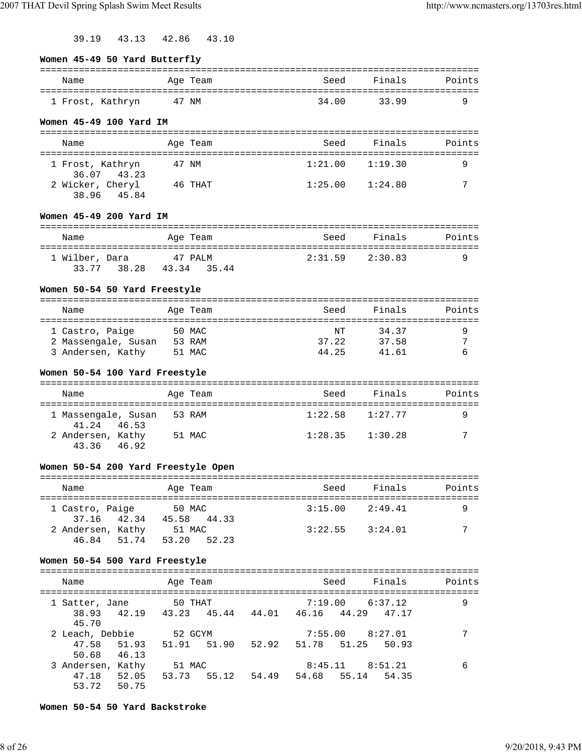39.19 43.13 42.86 43.10

#### **Women 45-49 50 Yard Butterfly**

| Name             |       | Aqe Team | Seed  | Finals | Points |
|------------------|-------|----------|-------|--------|--------|
| 1 Frost, Kathryn | 47 NM |          | 34.00 | 3399   |        |

#### **Women 45-49 100 Yard IM**

| Name                            | Age Team | Seed    | Finals  | Points |
|---------------------------------|----------|---------|---------|--------|
| 1 Frost, Kathryn<br>36.07 43.23 | 47 NM    | 1:21.00 | 1:19.30 |        |
| 2 Wicker, Cheryl<br>38.96 45.84 | 46 THAT  | 1:25.00 | 1:24.80 | 7      |

#### **Women 45-49 200 Yard IM**

| Name           | Age Team                | Seed | Finals          | Points |
|----------------|-------------------------|------|-----------------|--------|
| 1 Wilber, Dara | 47 PALM                 |      | 2:31.59 2:30.83 |        |
|                | 33.77 38.28 43.34 35.44 |      |                 |        |

#### **Women 50-54 50 Yard Freestyle**

| Name                | Age Team | Seed  | Finals | Points |
|---------------------|----------|-------|--------|--------|
| 1 Castro, Paige     | 50 MAC   | NΤ    | 34.37  |        |
| 2 Massengale, Susan | 53 RAM   | 37.22 | 37.58  | ⇁      |
| 3 Andersen, Kathy   | 51 MAC   | 44.25 | 41 61  |        |

### **Women 50-54 100 Yard Freestyle**

| Name                               | Age Team | Seed    | Finals  | Points |
|------------------------------------|----------|---------|---------|--------|
| 1 Massengale, Susan<br>41.24 46.53 | 53 RAM   | 1:22.58 | 1:27.77 | a      |
| 2 Andersen, Kathy<br>43.36 46.92   | 51 MAC   | 1:28.35 | 1:30.28 | ⇁      |

## **Women 50-54 200 Yard Freestyle Open**

| Name              | Age Team |             | Seed                | Finals  | Points |
|-------------------|----------|-------------|---------------------|---------|--------|
| 1 Castro, Paige   | 50 MAC   |             | $3:15.00$ $2:49.41$ |         |        |
| 37.16 42.34       |          | 45.58 44.33 |                     |         |        |
| 2 Andersen, Kathy | 51 MAC   |             | 3:22.55             | 3:24.01 | 7      |
| 46.84 51.74       | 53.20    | 52.23       |                     |         |        |

#### **Women 50-54 500 Yard Freestyle**

| Name                                 |                         | Age Team               |       |       |             | Finals<br>Seed                               | Points |
|--------------------------------------|-------------------------|------------------------|-------|-------|-------------|----------------------------------------------|--------|
| Satter, Jane<br>38.93 42.19<br>45.70 |                         | 50 THAT<br>43.23 45.44 |       |       |             | $7:19.00$ 6:37.12<br>44.01 46.16 44.29 47.17 | 9      |
| 2 Leach, Debbie<br>47.58<br>50.68    | 51.93<br>46.13          | 52 GCYM<br>51.91 51.90 |       | 52.92 | 51.78 51.25 | $7:55.00$ $8:27.01$<br>50.93                 |        |
| 3 Andersen,<br>47.18<br>53.72        | Kathy<br>52.05<br>50.75 | 51 MAC<br>53.73        | 55.12 | 54.49 | 8:45.11     | 8:51.21<br>54.68 55.14 54.35                 | 6      |

**Women 50-54 50 Yard Backstroke**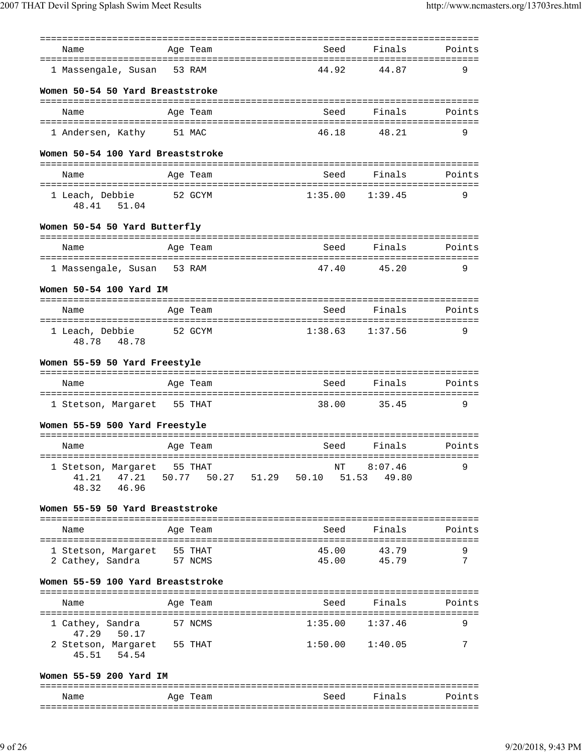| Name                                                            |       | Age Team |             | Seed        | Finals                    | Points |
|-----------------------------------------------------------------|-------|----------|-------------|-------------|---------------------------|--------|
| 1 Massengale, Susan                                             |       | 53 RAM   |             | 44.92       | 44.87                     | 9      |
| Women 50-54 50 Yard Breaststroke                                |       |          |             |             |                           |        |
| Name                                                            |       | Age Team |             | Seed        | Finals                    | Points |
| 1 Andersen, Kathy                                               |       | 51 MAC   |             | 46.18       | 48.21                     | 9      |
| Women 50-54 100 Yard Breaststroke                               |       |          |             |             |                           |        |
| Name                                                            |       | Age Team |             | Seed        | Finals                    | Points |
| 1 Leach, Debbie<br>48.41<br>51.04                               |       | 52 GCYM  |             | 1:35.00     | 1:39.45                   | 9      |
| Women 50-54 50 Yard Butterfly                                   |       |          |             |             |                           |        |
| Name                                                            |       | Age Team |             | Seed        | Finals                    | Points |
|                                                                 |       |          |             |             |                           |        |
| 1 Massengale, Susan 53 RAM                                      |       |          |             | 47.40       | 45.20                     | 9      |
| Women 50-54 100 Yard IM                                         |       |          |             |             |                           |        |
| Name                                                            |       | Age Team |             | Seed        | Finals                    | Points |
| 1 Leach, Debbie<br>48.78<br>48.78                               |       | 52 GCYM  |             | 1:38.63     | 1:37.56                   | 9      |
| Women 55-59 50 Yard Freestyle                                   |       |          |             |             |                           |        |
| Name                                                            |       | Age Team |             | Seed        | Finals                    | Points |
|                                                                 |       |          |             |             |                           |        |
| 1 Stetson, Margaret 55 THAT                                     |       |          |             | 38.00       | 35.45                     | 9      |
| Women 55-59 500 Yard Freestyle                                  |       |          |             |             |                           |        |
| Name                                                            |       | Age Team |             | Seed        | Finals                    | Points |
| 1 Stetson, Margaret 55 THAT<br>47.21<br>41.21<br>46.96<br>48.32 | 50.77 |          | 50.27 51.29 | ΝT<br>50.10 | 8:07.46<br>51.53<br>49.80 | 9      |
| Women 55-59 50 Yard Breaststroke                                |       |          |             |             |                           |        |
|                                                                 |       |          |             |             |                           |        |
| Name                                                            |       | Age Team |             | Seed        | Finals                    | Points |
| 1 Stetson, Margaret                                             |       | 55 THAT  |             | 45.00       | 43.79                     | 9      |
| 2 Cathey, Sandra                                                |       | 57 NCMS  |             | 45.00       | 45.79                     | 7      |
| Women 55-59 100 Yard Breaststroke                               |       |          |             |             |                           |        |
| Name                                                            |       | Age Team |             | Seed        | Finals                    | Points |
| 1 Cathey, Sandra<br>47.29<br>50.17                              |       | 57 NCMS  |             | 1:35.00     | 1:37.46                   | 9      |
| 2 Stetson, Margaret 55 THAT<br>45.51<br>54.54                   |       |          |             | 1:50.00     | 1:40.05                   | 7      |
| Women 55-59 200 Yard IM                                         |       |          |             |             |                           |        |
| Name                                                            |       | Age Team |             | Seed        | Finals                    | Points |

| ---------<br>____ | ---- | ---------- |  | ------- | - -------- |  | - - - - - - - - |
|-------------------|------|------------|--|---------|------------|--|-----------------|
|                   |      |            |  |         |            |  |                 |
|                   |      |            |  |         |            |  |                 |
|                   |      |            |  |         |            |  |                 |
|                   |      |            |  |         |            |  |                 |
|                   |      |            |  |         |            |  |                 |
|                   |      |            |  |         |            |  |                 |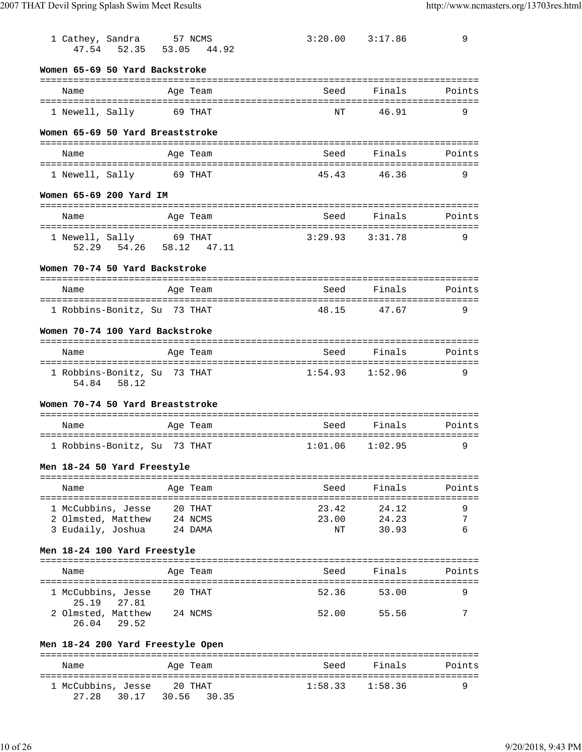| 1 Cathey, Sandra 57 NCMS<br>47.54 52.35 53.05                                       | 44.92            | $3:20.00$ $3:17.86$  |                         | 9           |
|-------------------------------------------------------------------------------------|------------------|----------------------|-------------------------|-------------|
| Women 65-69 50 Yard Backstroke                                                      |                  |                      |                         |             |
| Name                                                                                | Age Team         | Seed                 | Finals                  | Points      |
| 1 Newell, Sally                                                                     | 69 THAT          | NT                   | 46.91                   | 9           |
| Women 65-69 50 Yard Breaststroke                                                    |                  |                      |                         |             |
| Name                                                                                | Age Team         | Seed                 | Finals                  | Points      |
| 1 Newell, Sally 69 THAT                                                             |                  | 45.43                | 46.36                   | 9           |
| Women 65-69 200 Yard IM                                                             |                  |                      |                         |             |
| Name                                                                                | Age Team         | Seed                 | Finals                  | Points      |
| 1 Newell, Sally 69 THAT<br>52.29 54.26 58.12 47.11                                  |                  | 3:29.93              | 3:31.78                 | 9           |
| Women 70-74 50 Yard Backstroke                                                      |                  |                      |                         |             |
| Name                                                                                | Age Team         | Seed                 | Finals                  | Points      |
| 1 Robbins-Bonitz, Su 73 THAT                                                        |                  | 48.15                | 47.67                   | 9           |
| Women 70-74 100 Yard Backstroke                                                     |                  |                      |                         |             |
| Name<br>=====================================                                       | Age Team         | Seed                 | Finals                  | Points      |
| 1 Robbins-Bonitz, Su 73 THAT<br>54.84 58.12                                         |                  | 1:54.93              | 1:52.96                 | 9           |
| Women 70-74 50 Yard Breaststroke                                                    |                  |                      |                         |             |
| Name                                                                                | Age Team         | Seed                 | Finals                  | Points      |
| 1 Robbins-Bonitz, Su 73 THAT                                                        |                  | 1:01.06              | 1:02.95                 | 9           |
| Men 18-24 50 Yard Freestyle                                                         |                  |                      |                         |             |
| Name                                                                                | Age Team         | Seed                 | Finals                  | Points      |
| 20 THAT<br>1 McCubbins, Jesse<br>24 NCMS<br>2 Olmsted, Matthew<br>3 Eudaily, Joshua | 24 DAMA          | 23.42<br>23.00<br>ΝT | 24.12<br>24.23<br>30.93 | 9<br>7<br>6 |
| Men 18-24 100 Yard Freestyle                                                        |                  |                      |                         |             |
| Name                                                                                | Age Team         | Seed                 | Finals                  | Points      |
| 1 McCubbins, Jesse<br>25.19<br>27.81                                                | 20 THAT          | 52.36                | 53.00                   | 9           |
| 2 Olmsted, Matthew<br>24 NCMS<br>26.04<br>29.52                                     |                  | 52.00 55.56          |                         | 7           |
| Men 18-24 200 Yard Freestyle Open                                                   |                  |                      |                         |             |
| Name                                                                                | Age Team         | Seed                 | Finals                  | Points      |
| 1 McCubbins, Jesse<br>30.17 30.56<br>27.28                                          | 20 THAT<br>30.35 | 1:58.33              | 1:58.36                 | 9           |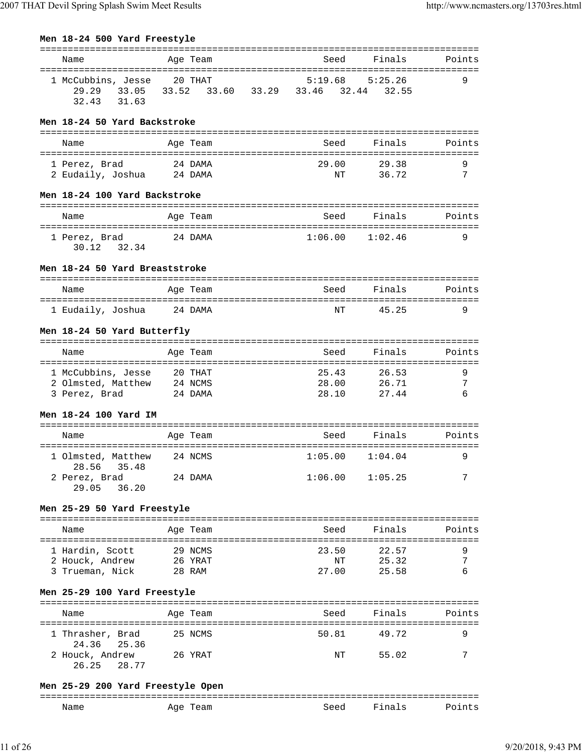| Name                                       |         | Age Team | Seed                                | Finals              | Points |
|--------------------------------------------|---------|----------|-------------------------------------|---------------------|--------|
| 1 McCubbins, Jesse 20 THAT                 |         |          | 5:19.68                             | 5:25.26             | 9      |
| 29.29<br>33.05                             |         |          | 33.52 33.60 33.29 33.46 32.44 32.55 |                     |        |
| 32.43<br>31.63                             |         |          |                                     |                     |        |
|                                            |         |          |                                     |                     |        |
| Men 18-24 50 Yard Backstroke               |         |          |                                     |                     |        |
| Name                                       |         | Age Team | Seed                                | Finals              | Points |
|                                            |         | 24 DAMA  | 29.00                               |                     |        |
| 1 Perez, Brad<br>2 Eudaily, Joshua 24 DAMA |         |          | ΝT                                  | 29.38<br>36.72      | 9<br>7 |
|                                            |         |          |                                     |                     |        |
| Men 18-24 100 Yard Backstroke              |         |          |                                     |                     |        |
| Name                                       |         | Age Team | Seed                                | Finals              | Points |
|                                            |         |          |                                     |                     |        |
| 24 DAMA<br>1 Perez, Brad                   |         |          | 1:06.00                             | 1:02.46             | 9      |
| 32.34<br>30.12                             |         |          |                                     |                     |        |
| Men 18-24 50 Yard Breaststroke             |         |          |                                     |                     |        |
|                                            |         |          |                                     |                     |        |
| Name                                       |         | Age Team | Seed                                | Finals              | Points |
| 1 Eudaily, Joshua 24 DAMA                  |         |          | NT                                  | 45.25               | 9      |
|                                            |         |          |                                     |                     |        |
| Men 18-24 50 Yard Butterfly                |         |          |                                     |                     |        |
| Name                                       |         | Age Team | Seed                                | Finals              | Points |
|                                            |         |          |                                     |                     |        |
| 1 McCubbins, Jesse                         | 20 THAT |          | 25.43                               | 26.53               | 9      |
| 2 Olmsted, Matthew                         | 24 NCMS |          | 28.00                               | 26.71               | 7<br>6 |
| 3 Perez, Brad 24 DAMA                      |         |          | 28.10                               | 27.44               |        |
| Men 18-24 100 Yard IM                      |         |          |                                     |                     |        |
|                                            |         |          |                                     |                     |        |
| Name                                       |         | Age Team | Seed                                | Finals              | Points |
| 1 Olmsted, Matthew                         | 24 NCMS |          | $1:05.00$ $1:04.04$                 |                     | 9      |
| 28.56 35.48                                |         |          |                                     |                     |        |
| 2 Perez, Brad<br>29.05 36.20               |         | 24 DAMA  |                                     | $1:06.00$ $1:05.25$ | 7      |
|                                            |         |          |                                     |                     |        |
| Men 25-29 50 Yard Freestyle                |         |          |                                     |                     |        |
|                                            |         |          |                                     |                     |        |
| Name                                       |         | Age Team |                                     | Seed Finals         | Points |
| 1 Hardin, Scott                            | 29 NCMS |          | 23.50                               | 22.57               | 9      |
| 2 Houck, Andrew 26 YRAT                    |         |          |                                     | NT 25.32            | 7      |
| 3 Trueman, Nick                            | 28 RAM  |          | 27.00                               | 25.58               | 6      |
| Men 25-29 100 Yard Freestyle               |         |          |                                     |                     |        |
|                                            |         |          |                                     |                     |        |
| Name                                       |         | Age Team | Seed                                | Finals              | Points |
| 1 Thrasher, Brad                           | 25 NCMS |          | 50.81                               | 49.72               | 9      |
| 24.36<br>25.36                             |         |          |                                     |                     |        |
| 2 Houck, Andrew 26 YRAT                    |         |          | NT                                  | 55.02               | 7      |
| 26.25 28.77                                |         |          |                                     |                     |        |
| $20.200$ Vard Freestyle Open               |         |          |                                     |                     |        |

# **Men 25-29 200 Yard Freestyle Open**

| ---<br>_______ |                                               |                   |                         |  |
|----------------|-----------------------------------------------|-------------------|-------------------------|--|
| Name           | AQA<br>'eam<br>--<br>$\overline{\phantom{a}}$ | $S^{\alpha}$<br>. | ໍກ່<br><br>⊸ 1.<br>---- |  |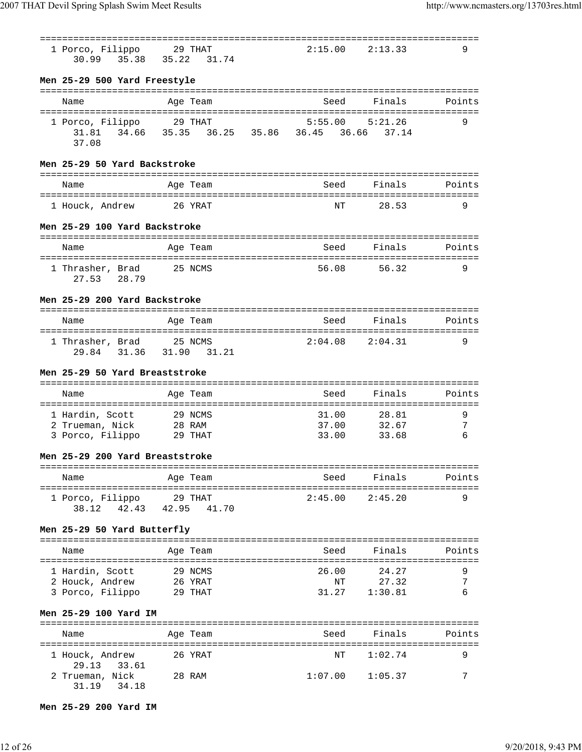| 1 Porco, Filippo<br>35.38 35.22<br>30.99            | 29 THAT<br>31.74                         | 2:15.00        | 2:13.33                | 9      |
|-----------------------------------------------------|------------------------------------------|----------------|------------------------|--------|
| Men 25-29 500 Yard Freestyle                        |                                          |                |                        |        |
| Name                                                | Age Team                                 | Seed           | Finals                 | Points |
| 1 Porco, Filippo<br>31.81<br>37.08                  | 29 THAT<br>34.66 35.35 36.25 35.86 36.45 | 5:55.00        | 5:21.26<br>36.66 37.14 | 9      |
| Men 25-29 50 Yard Backstroke                        |                                          |                |                        |        |
| Name                                                | Age Team                                 | Seed           | Finals                 | Points |
| 1 Houck, Andrew 26 YRAT                             |                                          | ΝT             | 28.53                  | 9      |
| Men 25-29 100 Yard Backstroke                       |                                          |                |                        |        |
| Name                                                | Age Team                                 | Seed           | Finals                 | Points |
| 1 Thrasher, Brad<br>28.79<br>27.53                  | 25 NCMS                                  | 56.08          | 56.32                  | 9      |
| Men 25-29 200 Yard Backstroke                       |                                          |                |                        |        |
| Name                                                | Age Team                                 | Seed           | Finals                 | Points |
| 1 Thrasher, Brad 25 NCMS<br>29.84 31.36             | 31.90 31.21                              | 2:04.08        | 2:04.31                | 9      |
| Men 25-29 50 Yard Breaststroke                      |                                          |                |                        |        |
| Name                                                | Age Team                                 | Seed           | Finals                 | Points |
| 1 Hardin, Scott                                     | 29 NCMS                                  | 31.00          | 28.81                  | 9      |
| 2 Trueman, Nick<br>3 Porco, Filippo 29 THAT         | 28 RAM                                   | 37.00<br>33.00 | 32.67<br>33.68         | 7<br>6 |
| Men 25-29 200 Yard Breaststroke                     |                                          |                |                        |        |
| Name                                                | Age Team                                 | Seed           | Finals                 | Points |
| 1 Porco, Filippo<br>38.12<br>42.43                  | 29 THAT<br>42.95 41.70                   | 2:45.00        | 2:45.20                | 9      |
| Men 25-29 50 Yard Butterfly                         |                                          |                |                        |        |
| Name                                                | Age Team                                 | Seed           | Finals                 | Points |
| 1 Hardin, Scott                                     | 29 NCMS                                  | 26.00          | 24.27                  | 9      |
| 2 Houck, Andrew<br>3 Porco, Filippo                 | 26 YRAT<br>29 THAT                       | NΤ<br>31.27    | 27.32<br>1:30.81       | 7<br>6 |
| Men 25-29 100 Yard IM                               |                                          |                |                        |        |
| ======================================<br>Name      | Age Team                                 | Seed           | Finals                 | Points |
| 1 Houck, Andrew                                     | 26 YRAT                                  | NΤ             | 1:02.74                | 9      |
| 29.13<br>33.61<br>2 Trueman, Nick<br>31.19<br>34.18 | 28 RAM                                   | 1:07.00        | 1:05.37                | 7      |

## **Men 25-29 200 Yard IM**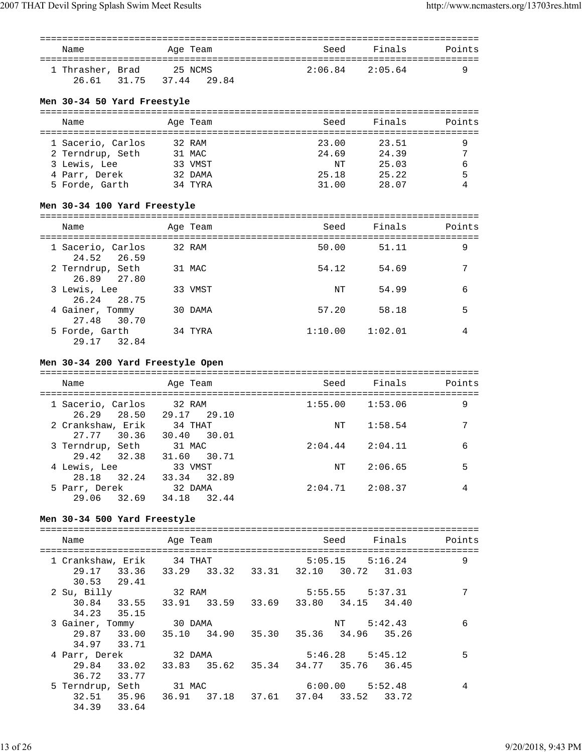| Name                                                           | Age Team               | Seed    | Finals  | Points |
|----------------------------------------------------------------|------------------------|---------|---------|--------|
| 1 Thrasher, Brad<br>26.61 31.75<br>Men 30-34 50 Yard Freestyle | 25 NCMS<br>37.44 29.84 | 2:06.84 | 2:05.64 | 9      |
| Name                                                           | Age Team               | Seed    | Finals  | Points |
| 1 Sacerio, Carlos                                              | 32 RAM                 | 23.00   | 23.51   | 9      |

| T DACELIO, CALIOS | JZ RAMI | 25.00 | 20.DI |   |
|-------------------|---------|-------|-------|---|
| 2 Terndrup, Seth  | 31 MAC  | 24.69 | 24.39 | 7 |
| 3 Lewis, Lee      | 33 VMST | NΤ    | 25.03 | 6 |
| 4 Parr, Derek     | 32 DAMA | 25.18 | 25.22 | 5 |
| 5 Forde, Garth    | 34 TYRA | 31.00 | 28.07 | 4 |

## **Men 30-34 100 Yard Freestyle**

| Name                             | Age Team | Seed    | Finals  | Points |
|----------------------------------|----------|---------|---------|--------|
| 1 Sacerio, Carlos<br>24.52 26.59 | 32 RAM   | 50.00   | 51.11   | 9      |
| 2 Terndrup, Seth<br>26.89 27.80  | 31 MAC   | 54.12   | 54.69   | 7      |
| 3 Lewis, Lee<br>26.24 28.75      | 33 VMST  | NT      | 54.99   | 6      |
| 4 Gainer, Tommy<br>27.48 30.70   | 30 DAMA  | 57.20   | 58.18   | 5      |
| 5 Forde, Garth<br>32.84<br>29.17 | 34 TYRA  | 1:10.00 | 1:02.01 | 4      |

## **Men 30-34 200 Yard Freestyle Open**

| Name                             | Age Team                  |       | Seed    | Finals  | Points |
|----------------------------------|---------------------------|-------|---------|---------|--------|
| 1 Sacerio, Carlos<br>26.29 28.50 | 32 RAM<br>29.17 29.10     |       | 1:55.00 | 1:53.06 | 9      |
| 2 Crankshaw, Erik<br>27.77 30.36 | 34 THAT<br>30.40 30.01    |       | NT      | 1:58.54 | 7      |
| 3 Terndrup, Seth<br>29.42 32.38  | 31 MAC<br>31.60 30.71     |       | 2:04.44 | 2:04.11 | 6      |
| 4 Lewis, Lee<br>28.18            | 33 VMST<br>32.24<br>33.34 | 32.89 | NT      | 2:06.65 | 5      |
| 5 Parr, Derek<br>29.06           | 32 DAMA<br>34.18<br>32.69 | 32.44 | 2:04.71 | 2:08.37 | 4      |

## **Men 30-34 500 Yard Freestyle**

| Name                      |       | Age Team |                         |                         |         | Seed Finals                                     | Points |
|---------------------------|-------|----------|-------------------------|-------------------------|---------|-------------------------------------------------|--------|
| 1 Crankshaw, Erik 34 THAT |       |          |                         |                         | 5:05.15 | 5:16.24                                         | 9      |
| 29.17 33.36               |       |          |                         | 33.29 33.32 33.31 32.10 |         | 30.72 31.03                                     |        |
| 30.53 29.41               |       |          |                         |                         |         |                                                 |        |
| 2 Su, Billy               |       | 32 RAM   |                         |                         |         | $5:55.55$ $5:37.31$                             | 7      |
|                           |       |          |                         |                         |         | 30.84 33.55 33.91 33.59 33.69 33.80 34.15 34.40 |        |
| 34.23 35.15               |       |          |                         |                         |         |                                                 |        |
| 3 Gainer, Tommy 30 DAMA   |       |          |                         |                         | NT      | 5:42.43                                         | 6      |
|                           |       |          | 29.87 33.00 35.10 34.90 |                         |         | 35.30 35.36 34.96 35.26                         |        |
| 34.97 33.71               |       |          |                         |                         |         |                                                 |        |
| 4 Parr, Derek             |       | 32 DAMA  |                         |                         |         | $5:46.28$ $5:45.12$                             | 5      |
|                           |       |          |                         |                         |         | 29.84 33.02 33.83 35.62 35.34 34.77 35.76 36.45 |        |
| 36.72                     | 33.77 |          |                         |                         |         |                                                 |        |
| 5 Terndrup, Seth 31 MAC   |       |          |                         |                         |         | $6:00.00$ $5:52.48$                             | 4      |
| 32.51 35.96               |       |          | 36.91 37.18             |                         |         | 37.61 37.04 33.52 33.72                         |        |
| 34.39                     | 33.64 |          |                         |                         |         |                                                 |        |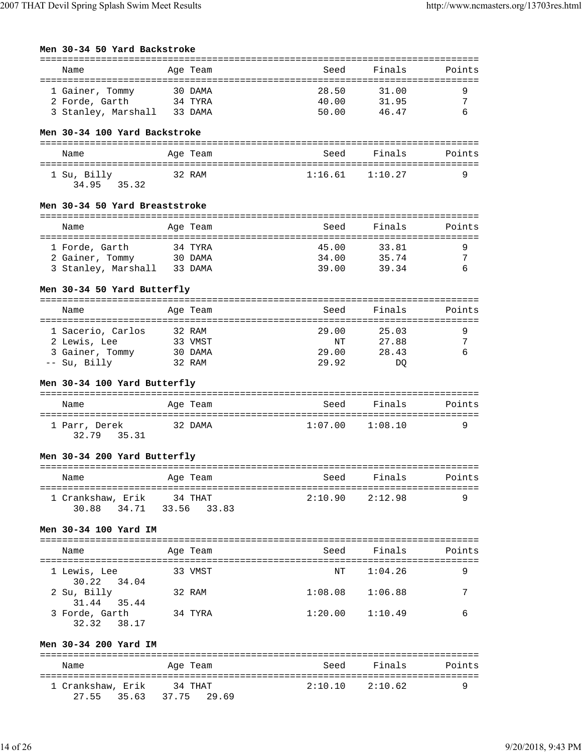**Men 30-34 50 Yard Backstroke**

| Name                                               |         | Age Team | Seed    | Finals              | Points |
|----------------------------------------------------|---------|----------|---------|---------------------|--------|
|                                                    |         |          |         |                     |        |
| 1 Gainer, Tommy                                    | 30 DAMA |          | 28.50   | 31.00               | 9      |
| 2 Forde, Garth                                     | 34 TYRA |          | 40.00   | 31.95               | 7      |
| 3 Stanley, Marshall 33 DAMA                        |         |          | 50.00   | 46.47               | 6      |
| Men 30-34 100 Yard Backstroke                      |         |          |         |                     |        |
| Name                                               |         | Age Team | Seed    | Finals              | Points |
|                                                    |         |          |         |                     |        |
| 1 Su, Billy<br>34.95 35.32                         | 32 RAM  |          |         | $1:16.61$ $1:10.27$ | 9      |
| Men 30-34 50 Yard Breaststroke                     |         |          |         |                     |        |
| Name                                               |         | Age Team | Seed    | Finals              | Points |
| 1 Forde, Garth                                     | 34 TYRA |          | 45.00   | 33.81               | 9      |
| 2 Gainer, Tommy 30 DAMA                            |         |          | 34.00   | 35.74               | 7      |
| 3 Stanley, Marshall 33 DAMA                        |         |          | 39.00   | 39.34               | 6      |
|                                                    |         |          |         |                     |        |
| Men 30-34 50 Yard Butterfly                        |         |          |         |                     |        |
| Name                                               |         | Age Team | Seed    | Finals              | Points |
|                                                    |         |          |         |                     |        |
| 1 Sacerio, Carlos                                  | 32 RAM  |          | 29.00   | 25.03               | 9      |
| 33 VMST<br>2 Lewis, Lee                            |         |          |         | NT 27.88            | 7      |
| 3 Gainer, Tommy 30 DAMA                            |         |          | 29.00   | 28.43               | 6      |
| -- Su, Billy<br>32 RAM                             |         |          | 29.92   | DO.                 |        |
| Men 30-34 100 Yard Butterfly                       |         |          |         |                     |        |
|                                                    |         |          |         |                     |        |
|                                                    |         |          |         |                     |        |
| Name                                               |         | Age Team | Seed    | Finals              | Points |
| 1 Parr, Derek<br>32.79<br>35.31                    | 32 DAMA |          |         | $1:07.00$ $1:08.10$ | 9      |
| Men 30-34 200 Yard Butterfly                       |         |          |         |                     |        |
| Name                                               |         | Age Team | Seed    | Finals              | Points |
|                                                    |         |          |         |                     |        |
| 1 Crankshaw, Erik 34 THAT<br>34.71<br>30.88        | 33.56   | 33.83    |         | $2:10.90$ $2:12.98$ | 9      |
|                                                    |         |          |         |                     |        |
| Men 30-34 100 Yard IM                              |         |          |         |                     |        |
| Name                                               |         | Age Team | Seed    | Finals              | Points |
| 1 Lewis, Lee                                       |         | 33 VMST  | NΤ      | 1:04.26             | 9      |
| 30.22<br>34.04<br>2 Su, Billy                      |         | 32 RAM   | 1:08.08 | 1:06.88             | 7      |
| 31.44<br>35.44<br>3 Forde, Garth<br>32.32<br>38.17 | 34 TYRA |          | 1:20.00 | 1:10.49             | 6      |
| Men 30-34 200 Yard IM                              |         |          |         |                     |        |
| Name                                               |         | Age Team | Seed    | Finals              | Points |
| 1 Crankshaw, Erik 34 THAT<br>27.55<br>35.63        | 37.75   | 29.69    | 2:10.10 | 2:10.62             | 9      |

===============================================================================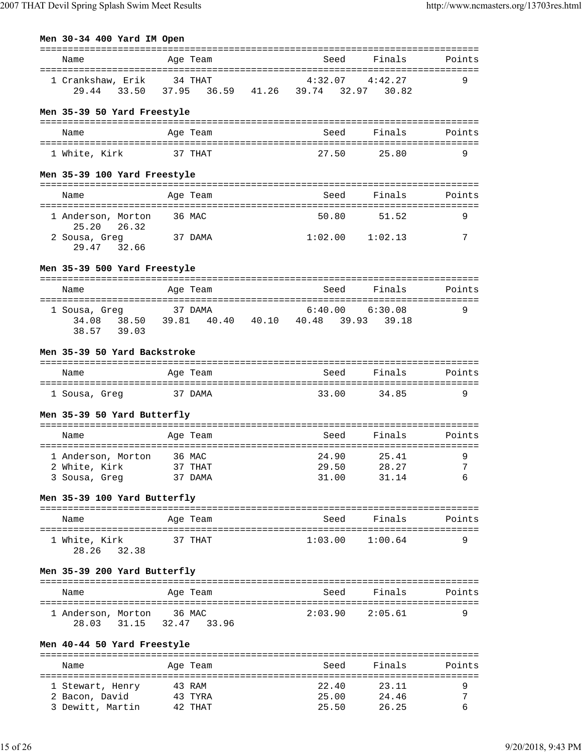| Men 30-34 400 Yard IM Open |  |  |
|----------------------------|--|--|
|                            |  |  |

| Name                                                 | Age Team                                                                             |                     | Seed Finals        | Points |
|------------------------------------------------------|--------------------------------------------------------------------------------------|---------------------|--------------------|--------|
| 1 Crankshaw, Erik 34 THAT 4:32.07 4:42.27            | 29.44 33.50 37.95 36.59 41.26 39.74 32.97 30.82                                      |                     |                    | 9      |
| Men 35-39 50 Yard Freestyle                          |                                                                                      |                     |                    |        |
| Name                                                 | Age Team                                                                             | Seed                | Finals             | Points |
| 1 White, Kirk                                        | 37 THAT                                                                              | 27.50               | 25.80              | 9      |
| Men 35-39 100 Yard Freestyle                         |                                                                                      |                     |                    |        |
| Name                                                 | Age Team                                                                             |                     | Seed Finals        | Points |
| 1 Anderson, Morton<br>25.20<br>26.32                 | 36 MAC                                                                               | 50.80               | 51.52              | 9      |
| 2 Sousa, Greg 37 DAMA<br>29.47 32.66                 |                                                                                      | $1:02.00$ $1:02.13$ |                    | 7      |
| Men 35-39 500 Yard Freestyle                         |                                                                                      |                     |                    |        |
| Name                                                 | Age Team                                                                             | Seed                | Finals             | Points |
| 1 Sousa, Greq<br>38.57 39.03                         | usa, Greg 37 DAMA 6:40.00 6:30.08<br>34.08 38.50 39.81 40.40 40.10 40.48 39.93 39.18 |                     |                    | 9      |
| Men 35-39 50 Yard Backstroke                         |                                                                                      |                     |                    |        |
| Name                                                 | Age Team                                                                             | <b>Seed</b>         |                    |        |
| 1 Sousa, Greg 37 DAMA                                |                                                                                      |                     | 33.00 34.85        | 9      |
| Men 35-39 50 Yard Butterfly                          |                                                                                      |                     |                    |        |
| Name                                                 | Age Team                                                                             |                     | Seed Finals        | Points |
| 1 Anderson, Morton 36 MAC                            |                                                                                      | 24.90               | 25.41              | 9      |
| 2 White, Kirk 37 THAT 29.50 28.27 7<br>3 Sousa, Greg | 37 DAMA                                                                              | 31.00               | 31.14              | 6      |
|                                                      |                                                                                      |                     |                    |        |
| Men 35-39 100 Yard Butterfly                         |                                                                                      |                     |                    |        |
| Name                                                 | Age Team                                                                             |                     | Seed Finals Points |        |
| 1 White, Kirk<br>28.26<br>32.38                      | 37 THAT                                                                              | 1:03.00             | 1:00.64            | 9      |
| Men 35-39 200 Yard Butterfly                         |                                                                                      |                     |                    |        |
| Name                                                 | Age Team                                                                             | Seed                | Finals             | Points |
| 1 Anderson, Morton 36 MAC<br>28.03                   | 31.15 32.47 33.96                                                                    | $2:03.90$ $2:05.61$ |                    | 9      |
| Men 40-44 50 Yard Freestyle                          |                                                                                      |                     |                    |        |
| Name                                                 | Age Team                                                                             | Seed                | Finals             | Points |
|                                                      |                                                                                      |                     |                    |        |
| 1 Stewart, Henry                                     | 43 RAM<br>43 TYRA                                                                    | 22.40<br>25.00      | 23.11<br>24.46     | 9<br>7 |
| 2 Bacon, David<br>3 Dewitt, Martin                   | 42 THAT                                                                              | 25.50               | 26.25              | 6      |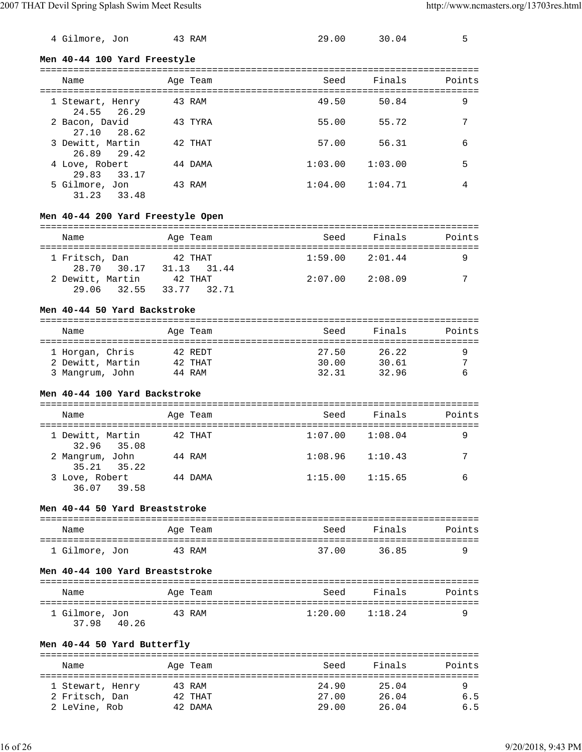| $\mathbf{X}$ $\mathbf{Y}$ $\mathbf{Y}$ $\mathbf{Y}$ $\mathbf{Y}$ $\mathbf{Y}$ $\mathbf{Y}$ $\mathbf{Y}$ $\mathbf{Y}$ $\mathbf{Y}$ $\mathbf{Y}$ $\mathbf{Y}$ $\mathbf{Y}$ $\mathbf{Y}$ $\mathbf{Y}$ $\mathbf{Y}$ $\mathbf{Y}$ $\mathbf{Y}$ $\mathbf{Y}$ $\mathbf{Y}$ $\mathbf{Y}$ $\mathbf{Y}$ $\mathbf{Y}$ $\mathbf{Y}$ $\mathbf{$ |                              |        |       | $\sigma = 1$ , $\sigma = 1$ , $\sigma = 1$ | $\mathbf{D}$ and $\mathbf{D}$ and $\mathbf{D}$ |
|------------------------------------------------------------------------------------------------------------------------------------------------------------------------------------------------------------------------------------------------------------------------------------------------------------------------------------|------------------------------|--------|-------|--------------------------------------------|------------------------------------------------|
|                                                                                                                                                                                                                                                                                                                                    | Men 40-44 100 Yard Freestyle |        |       |                                            |                                                |
| 4 Gilmore, Jon                                                                                                                                                                                                                                                                                                                     |                              | 43 RAM | 29.00 | 30.04                                      | ᄃ                                              |

| Name                             | Age Team | Seed    | Finals  | Points |
|----------------------------------|----------|---------|---------|--------|
| 1 Stewart, Henry<br>24.55 26.29  | 43 RAM   | 49.50   | 50.84   | 9      |
| 2 Bacon, David<br>27.10 28.62    | 43 TYRA  | 55.00   | 55.72   | 7      |
| 3 Dewitt, Martin<br>26.89 29.42  | 42 THAT  | 57.00   | 56.31   | 6      |
| 4 Love, Robert<br>29.83<br>33.17 | 44 DAMA  | 1:03.00 | 1:03.00 | 5      |
| 5 Gilmore, Jon<br>31.23<br>33.48 | 43 RAM   | 1:04.00 | 1:04.71 | 4      |

## **Men 40-44 200 Yard Freestyle Open**

| Name           |                  | Age Team |             | Seed                | Finals  | Points |
|----------------|------------------|----------|-------------|---------------------|---------|--------|
| 1 Fritsch, Dan |                  | 42 THAT  |             | $1:59.00$ $2:01.44$ |         |        |
|                | 28.70 30.17      |          | 31.13 31.44 |                     |         |        |
|                | 2 Dewitt, Martin | 42 THAT  |             | 2:07.00             | 2:08.09 | 7      |
|                | 29.06 32.55      |          | 33.77 32.71 |                     |         |        |

#### **Men 40-44 50 Yard Backstroke**

| Name             | Age Team | Seed  | Finals | Points |
|------------------|----------|-------|--------|--------|
| 1 Horgan, Chris  | 42 REDT  | 27.50 | 26.22  |        |
| 2 Dewitt, Martin | 42 THAT  | 30.00 | 30.61  | ⇁      |
| 3 Mangrum, John  | 44 RAM   | 32.31 | 32.96  |        |

## **Men 40-44 100 Yard Backstroke**

| Name                            | Age Team | Seed    | Finals  | Points |
|---------------------------------|----------|---------|---------|--------|
| 1 Dewitt, Martin<br>32.96 35.08 | 42 THAT  | 1:07.00 | 1:08.04 | 9      |
| 2 Mangrum, John<br>35.21 35.22  | 44 RAM   | 1:08.96 | 1:10.43 | 7      |
| 3 Love, Robert<br>36.07 39.58   | 44 DAMA  | 1:15.00 | 1:15.65 | 6      |

#### **Men 40-44 50 Yard Breaststroke**

| Name           | Age Team | Seed  | Finals | Points |
|----------------|----------|-------|--------|--------|
| 1 Gilmore, Jon | 43 RAM   | 37.00 | 3685   |        |

### **Men 40-44 100 Yard Breaststroke**

| Name                             | Age Team | Seed    | Finals  | Points |
|----------------------------------|----------|---------|---------|--------|
| 1 Gilmore, Jon<br>37.98<br>40.26 | 43 RAM   | 1:20.00 | 1:18.24 |        |

## **Men 40-44 50 Yard Butterfly**

| Name             | Age Team | Seed  | Finals | Points |
|------------------|----------|-------|--------|--------|
| 1 Stewart, Henry | 43 RAM   | 24.90 | 25.04  | 9      |
| 2 Fritsch, Dan   | 42 THAT  | 27.00 | 26.04  | 6.5    |
| 2 LeVine, Rob    | 42 DAMA  | 29.00 | 26.04  | 6.5    |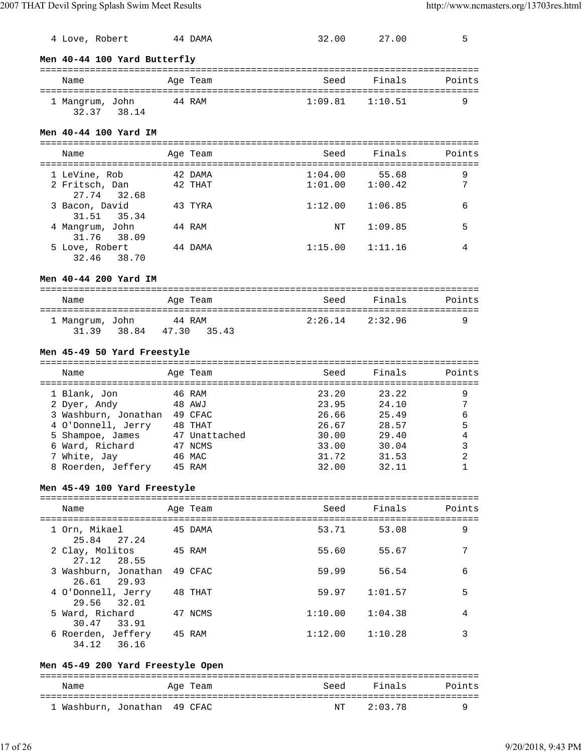| 4 Love, Robert                           |       | 44 DAMA       | 32.00   | 27.00   | 5      |
|------------------------------------------|-------|---------------|---------|---------|--------|
| Men 40-44 100 Yard Butterfly             |       |               |         |         |        |
| Name                                     |       | Age Team      | Seed    | Finals  | Points |
| 1 Mangrum, John<br>32.37 38.14           |       | 44 RAM        | 1:09.81 | 1:10.51 | 9      |
| Men 40-44 100 Yard IM                    |       |               |         |         |        |
| Name                                     |       | Age Team      | Seed    | Finals  | Points |
| 1 LeVine, Rob                            |       | 42 DAMA       | 1:04.00 | 55.68   | 9      |
| 2 Fritsch, Dan<br>27.74<br>32.68         |       | 42 THAT       | 1:01.00 | 1:00.42 | 7      |
| 3 Bacon, David<br>31.51<br>35.34         |       | 43 TYRA       | 1:12.00 | 1:06.85 | 6      |
| 4 Mangrum, John<br>31.76 38.09           |       | 44 RAM        | ΝT      | 1:09.85 | 5      |
| 5 Love, Robert<br>32.46<br>38.70         |       | 44 DAMA       | 1:15.00 | 1:11.16 | 4      |
| Men 40-44 200 Yard IM                    |       |               |         |         |        |
| Name                                     |       | Age Team      | Seed    | Finals  | Points |
| 1 Mangrum, John<br>44 RAM<br>31.39 38.84 | 47.30 | 35.43         | 2:26.14 | 2:32.96 | 9      |
| Men 45-49 50 Yard Freestyle              |       |               |         |         |        |
| Name                                     |       | Age Team      | Seed    | Finals  | Points |
| 46 RAM<br>1 Blank, Jon                   |       |               | 23.20   | 23.22   | 9      |
| 2 Dyer, Andy                             |       | 48 AWJ        | 23.95   | 24.10   | 7      |
| 3 Washburn, Jonathan 49 CFAC             |       |               | 26.66   | 25.49   | 6      |
| 4 O'Donnell, Jerry 48 THAT               |       |               | 26.67   | 28.57   | 5      |
| 5 Shampoe, James                         |       | 47 Unattached | 30.00   | 29.40   | 4      |
| 6 Ward, Richard                          |       | 47 NCMS       | 33.00   | 30.04   | 3      |
| 7 White, Jay 46 MAC                      |       |               | 31.72   | 31.53   | 2      |
| 8 Roerden, Jeffery                       |       | 45 RAM        | 32.00   | 32.11   | 1      |
| Men 45-49 100 Yard Freestyle             |       |               |         |         |        |
| Name                                     |       | Age Team      | Seed    | Finals  | Points |
| 1 Orn, Mikael<br>25.84<br>27.24          |       | 45 DAMA       | 53.71   | 53.08   | 9      |
| 2 Clay, Molitos<br>27.12<br>28.55        |       | 45 RAM        | 55.60   | 55.67   | 7      |
| 3 Washburn, Jonathan<br>26.61<br>29.93   |       | 49 CFAC       | 59.99   | 56.54   | 6      |
| 4 O'Donnell, Jerry<br>29.56<br>32.01     |       | 48 THAT       | 59.97   | 1:01.57 | 5      |
| 5 Ward, Richard                          |       | 47 NCMS       | 1:10.00 | 1:04.38 | 4      |

## **Men 45-49 200 Yard Freestyle Open**

30.47 33.91<br>6 Roerden, Jeffery 45 RAM

34.12 36.16

| Name                         | Age Team | Seed | Finals  | Points |
|------------------------------|----------|------|---------|--------|
| 1 Washburn, Jonathan 49 CFAC |          | NT   | 2:03.78 | a      |

 $1:12.00$   $1:10.28$  3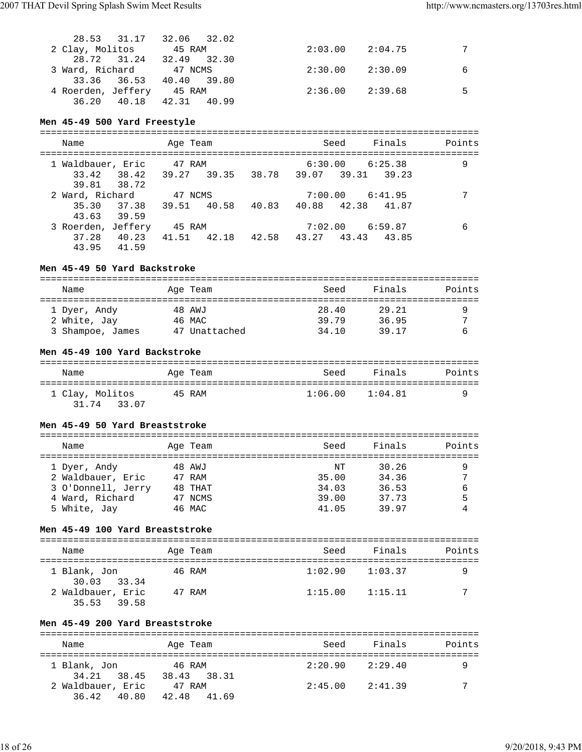|                 | 28.53 31.17 32.06 32.02   |                     |   |
|-----------------|---------------------------|---------------------|---|
| 2 Clay, Molitos | 45 RAM                    | $2:03.00$ $2:04.75$ |   |
|                 | 28.72 31.24 32.49 32.30   |                     |   |
|                 | 3 Ward, Richard 47 NCMS   | $2:30.00$ $2:30.09$ | 6 |
|                 | 33.36 36.53 40.40 39.80   |                     |   |
|                 | 4 Roerden, Jeffery 45 RAM | $2:36.00$ $2:39.68$ |   |
|                 | 36.20 40.18 42.31 40.99   |                     |   |

## **Men 45-49 500 Yard Freestyle**

| Name                                          |                         | Age Team               |       |                         | Seed                | Finals | Points |
|-----------------------------------------------|-------------------------|------------------------|-------|-------------------------|---------------------|--------|--------|
| 1 Waldbauer, Eric<br>39.81 38.72              | 33.42 38.42 39.27 39.35 | 47 RAM                 |       | 38.78 39.07 39.31 39.23 | $6:30.00$ $6:25.38$ |        | 9      |
| 2 Ward, Richard<br>35.30 37.38<br>43.63 39.59 |                         | 47 NCMS<br>39.51 40.58 | 40.83 | 40.88 42.38 41.87       | $7:00.00$ $6:41.95$ |        |        |
| 3 Roerden, Jeffery<br>43.95                   | 37.28 40.23<br>41.59    | 45 RAM<br>41.51 42.18  |       | 42.58 43.27 43.43 43.85 | $7:02.00$ $6:59.87$ |        | 6      |

## **Men 45-49 50 Yard Backstroke**

| Name             | Age Team      | Seed  | Finals | Points |
|------------------|---------------|-------|--------|--------|
| 1 Dyer, Andy     | 48 AWJ        | 28.40 | 29.21  |        |
| 2 White, Jay     | 46 MAC        | 39.79 | 36.95  | ∍      |
| 3 Shampoe, James | 47 Unattached | 34.10 | 39.17  |        |

## **Men 45-49 100 Yard Backstroke**

| Name                           | Age Team | Seed                | Finals | Points |
|--------------------------------|----------|---------------------|--------|--------|
| 1 Clay, Molitos<br>31.74 33.07 | 45 RAM   | $1:06.00$ $1:04.81$ |        |        |

## **Men 45-49 50 Yard Breaststroke**

| Name               | Age Team | Seed  | Finals | Points |
|--------------------|----------|-------|--------|--------|
| 1 Dyer, Andy       | 48 AWJ   | NΤ    | 30.26  |        |
| 2 Waldbauer, Eric  | 47 RAM   | 35.00 | 34.36  |        |
| 3 O'Donnell, Jerry | 48 THAT  | 34.03 | 36.53  | 6      |
| 4 Ward, Richard    | 47 NCMS  | 39.00 | 37.73  | 5      |
| 5 White, Jay       | 46 MAC   | 41.05 | 39.97  |        |
|                    |          |       |        |        |

## **Men 45-49 100 Yard Breaststroke**

| Name                             | Age Team | Seed                | Finals  | Points |
|----------------------------------|----------|---------------------|---------|--------|
| 1 Blank, Jon<br>30.03 33.34      | 46 RAM   | $1:02.90$ $1:03.37$ |         |        |
| 2 Waldbauer, Eric<br>35.53 39.58 | 47 RAM   | 1:15.00             | 1:15.11 | 7      |

## **Men 45-49 200 Yard Breaststroke**

| Name                                | Age Team                 | Seed    | Finals  | Points |
|-------------------------------------|--------------------------|---------|---------|--------|
| 1 Blank, Jon                        | 46 RAM                   | 2:20.90 | 2:29.40 |        |
| 34.21 38.45                         | 38.43 38.31              |         |         | 7      |
| 2 Waldbauer, Eric<br>36.42<br>40.80 | 47 RAM<br>42.48<br>41.69 | 2:45.00 | 2:41.39 |        |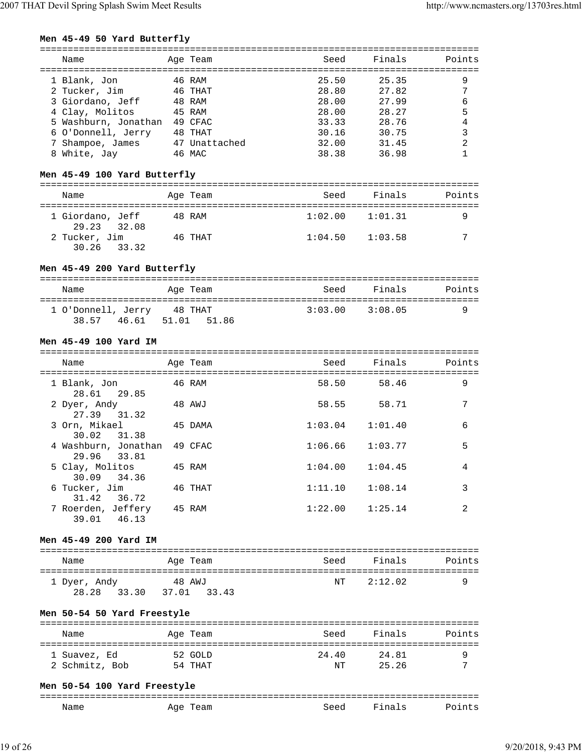## **Men 45-49 50 Yard Butterfly**

| Name                 | Age Team      | Seed  | Finals | Points |
|----------------------|---------------|-------|--------|--------|
| 1 Blank, Jon         | 46 RAM        | 25.50 | 25.35  | 9      |
| 2 Tucker, Jim        | 46 THAT       | 28.80 | 27.82  | 7      |
| 3 Giordano, Jeff     | 48 RAM        | 28.00 | 27.99  | 6      |
| 4 Clay, Molitos      | 45 RAM        | 28.00 | 28.27  | 5      |
| 5 Washburn, Jonathan | 49 CFAC       | 33.33 | 28.76  | 4      |
| 6 O'Donnell, Jerry   | 48 THAT       | 30.16 | 30.75  | 3      |
| 7 Shampoe, James     | 47 Unattached | 32.00 | 31.45  | 2      |
| 8 White, Jay         | 46 MAC        | 38.38 | 36.98  |        |
|                      |               |       |        |        |

#### **Men 45-49 100 Yard Butterfly**

| Name                            | Age Team | Seed    | Finals  | Points |
|---------------------------------|----------|---------|---------|--------|
| 1 Giordano, Jeff<br>29.23 32.08 | 48 RAM   | 1:02.00 | 1:01.31 |        |
| 2 Tucker, Jim<br>30.26 33.32    | 46 THAT  | 1:04.50 | 1:03.58 | 7      |

## **Men 45-49 200 Yard Butterfly**

| Name                              | Age Team               | Seed | Finals          | Points |
|-----------------------------------|------------------------|------|-----------------|--------|
| 1 O'Donnell, Jerry<br>38.57 46.61 | 48 THAT<br>51.01 51.86 |      | 3:03.00 3:08.05 |        |

### **Men 45-49 100 Yard IM**

| Name                                |         | Age Team | Seed    | Finals      | Points         |
|-------------------------------------|---------|----------|---------|-------------|----------------|
| 1 Blank, Jon<br>28.61 29.85         | 46 RAM  |          |         | 58.50 58.46 | 9              |
| 2 Dyer, Andy<br>27.39 31.32         | 48 AWJ  |          | 58.55   | 58.71       | 7              |
| 3 Orn, Mikael<br>30.02 31.38        | 45 DAMA |          | 1:03.04 | 1:01.40     | 6              |
| 4 Washburn, Jonathan<br>29.96 33.81 |         | 49 CFAC  | 1:06.66 | 1:03.77     | 5              |
| 5 Clay, Molitos<br>30.09 34.36      | 45 RAM  |          | 1:04.00 | 1:04.45     | 4              |
| 6 Tucker, Jim<br>31.42 36.72        |         | 46 THAT  | 1:11.10 | 1:08.14     | 3              |
| 7 Roerden, Jeffery<br>39.01 46.13   | 45 RAM  |          | 1:22.00 | 1:25.14     | $\mathfrak{D}$ |

## **Men 45-49 200 Yard IM**

| Name                  |       | Age Team              | Seed | Finals  | Points |
|-----------------------|-------|-----------------------|------|---------|--------|
| 1 Dyer, Andy<br>28.28 | 33.30 | 48 AWJ<br>37.01 33.43 | NT   | 2:12.02 | O      |

## **Men 50-54 50 Yard Freestyle**

| Name           | Age Team | Seed  | Finals | Points |
|----------------|----------|-------|--------|--------|
| 1 Suavez, Ed   | 52 GOLD  | 24.40 | 24.81  |        |
| 2 Schmitz, Bob | 54 THAT  | NT    | 25.26  | ⇁      |

#### **Men 50-54 100 Yard Freestyle**

| ---- |     |          |                          | . _ _ _ _ _ |
|------|-----|----------|--------------------------|-------------|
| Name | Aqe | PAC<br>. | $\sim$<br>н<br>$11d + 5$ |             |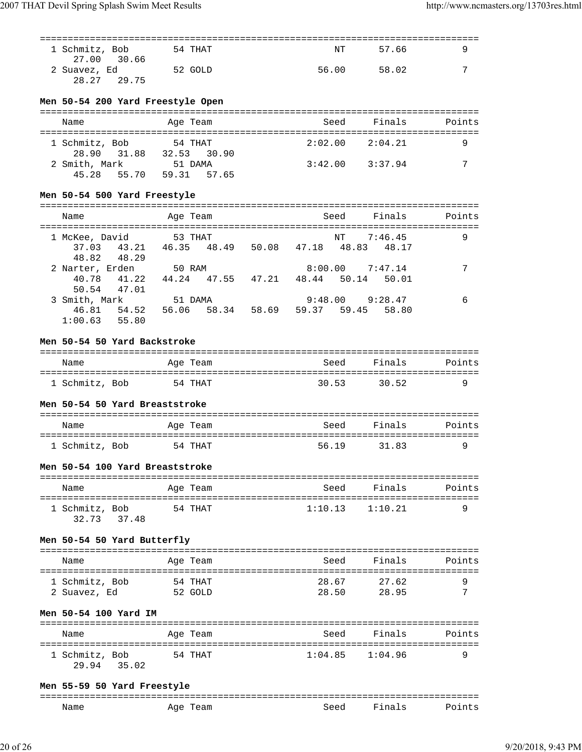| 1 Schmitz, Bob              | 54 THAT | NT    | 57.66 |   |
|-----------------------------|---------|-------|-------|---|
| 27.00 30.66<br>2 Suavez, Ed | 52 GOLD | 56.00 | 58.02 | ⇁ |
| 28.27 29.75                 |         |       |       |   |

#### **Men 50-54 200 Yard Freestyle Open**

| Name                         | Age Team               | Seed    | Finals              | Points |
|------------------------------|------------------------|---------|---------------------|--------|
| 1 Schmitz, Bob               | 54 THAT                |         | $2:02.00$ $2:04.21$ |        |
| 28.90 31.88<br>2 Smith, Mark | 32.53 30.90<br>51 DAMA | 3:42.00 | 3:37.94             | 7      |
| 45.28 55.70                  | 59.31 57.65            |         |                     |        |

### **Men 50-54 500 Yard Freestyle**

| Name                                      |                      | Age Team               |             |       |                         | Seed                         | Finals  | Points |
|-------------------------------------------|----------------------|------------------------|-------------|-------|-------------------------|------------------------------|---------|--------|
| 1 McKee, David<br>48.82                   | 37.03 43.21<br>48.29 | 53 THAT<br>46.35 48.49 |             |       | 50.08 47.18 48.83 48.17 | NT                           | 7:46.45 | 9      |
| 2 Narter, Erden<br>40.78                  | 41.22<br>50.54 47.01 | 50 RAM                 | 44.24 47.55 | 47.21 |                         | 8:00.00<br>48.44 50.14 50.01 | 7:47.14 |        |
| 3 Smith, Mark<br>46.81<br>$1:00.63$ 55.80 | 54.52                | 51 DAMA<br>56.06 58.34 |             | 58.69 | 9:48.00                 | 59.37 59.45 58.80            | 9:28.47 | 6      |

## **Men 50-54 50 Yard Backstroke**

| Name           | Age Team | Seed  | Finals | Points |
|----------------|----------|-------|--------|--------|
| 1 Schmitz, Bob | 54 THAT  | 30.53 | 30.52  | a      |

## **Men 50-54 50 Yard Breaststroke**

| Name           | Age Team | Seed  | Finals | Points |
|----------------|----------|-------|--------|--------|
| 1 Schmitz, Bob | 54 THAT  | 56.19 | 31.83  |        |

### **Men 50-54 100 Yard Breaststroke**

| Name                          | Age Team | Seed                | Finals | Points |
|-------------------------------|----------|---------------------|--------|--------|
| 1 Schmitz, Bob<br>32.73 37.48 | 54 THAT  | $1:10.13$ $1:10.21$ |        |        |

### **Men 50-54 50 Yard Butterfly**

| Name           | Age Team | Seed  | Finals | Points                 |
|----------------|----------|-------|--------|------------------------|
| 1 Schmitz, Bob | 54 THAT  | 28.67 | 27.62  |                        |
| 2 Suavez, Ed   | 52 GOLD  | 28.50 | 28.95  | $\mathbf{\mathcal{L}}$ |

## **Men 50-54 100 Yard IM**

| Name                             | Age Team | Seed    | Finals  | Points |
|----------------------------------|----------|---------|---------|--------|
| 1 Schmitz, Bob<br>29.94<br>35.02 | 54 THAT  | 1:04.85 | 1:04.96 | a      |

#### **Men 55-59 50 Yard Freestyle**

| ---  |             |                      |    | ----------------------------- |
|------|-------------|----------------------|----|-------------------------------|
| Name | 'eam<br>AY' | $S^{\triangle}$<br>. | na |                               |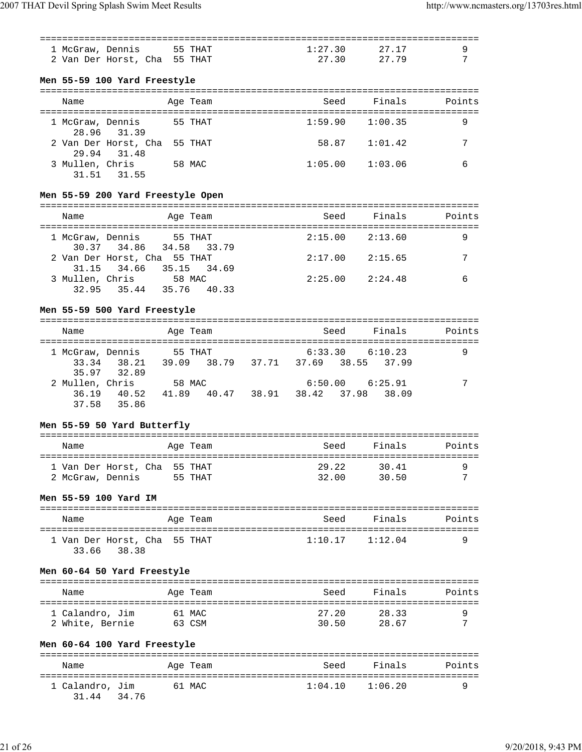| 1 McGraw, Dennis 55 THAT     | 1:27.30 | 27.17 | <b>Q</b> |
|------------------------------|---------|-------|----------|
| 2 Van Der Horst, Cha 55 THAT | 2.7.30  | 27.79 |          |
|                              |         |       |          |

## **Men 55-59 100 Yard Freestyle**

| Name             |                                             |        | Age Team | Seed    | Finals  | Points |
|------------------|---------------------------------------------|--------|----------|---------|---------|--------|
| 1 McGraw, Dennis | 28.96 31.39                                 |        | 55 THAT  | 1:59.90 | 1:00.35 | 9      |
|                  | 2 Van Der Horst, Cha 55 THAT<br>29.94 31.48 |        |          | 58.87   | 1:01.42 |        |
| 3 Mullen, Chris  | 31.51 31.55                                 | 58 MAC |          | 1:05.00 | 1:03.06 |        |

## **Men 55-59 200 Yard Freestyle Open**

| Name             |                                                         | Age Team    | Seed    | Finals              | Points |
|------------------|---------------------------------------------------------|-------------|---------|---------------------|--------|
| 1 McGraw, Dennis | 30.37 34.86 34.58 33.79                                 | 55 THAT     |         | $2:15.00$ $2:13.60$ | 9      |
|                  | 2 Van Der Horst, Cha 55 THAT<br>31.15 34.66 35.15 34.69 |             | 2:17.00 | 2:15.65             | 7      |
|                  | 3 Mullen, Chris 58 MAC                                  |             |         | $2:25.00$ $2:24.48$ |        |
|                  | 32.95 35.44                                             | 35.76 40.33 |         |                     |        |

#### **Men 55-59 500 Yard Freestyle**

| Name             |                            | Age Team                                       |  |                   | Seed                | Finals | Points |
|------------------|----------------------------|------------------------------------------------|--|-------------------|---------------------|--------|--------|
| 1 McGraw, Dennis | 33.34 38.21<br>35.97 32.89 | 55 THAT<br>39.09 38.79 37.71 37.69 38.55 37.99 |  |                   | $6:33.30$ $6:10.23$ |        | 9      |
| 2 Mullen, Chris  | 36.19 40.52<br>37.58 35.86 | 58 MAC<br>41.89 40.47                          |  | 38.91 38.42 37.98 | $6:50.00$ $6:25.91$ | 38.09  | 7      |

## **Men 55-59 50 Yard Butterfly**

| Name                                             |  | Age Team | Seed           | Finals         | Points |
|--------------------------------------------------|--|----------|----------------|----------------|--------|
| 1 Van Der Horst, Cha 55 THAT<br>2 McGraw, Dennis |  | 55 THAT  | 29.22<br>32.00 | 30.41<br>30.50 | ⇁      |

### **Men 55-59 100 Yard IM**

| Name |                              | Age Team | Seed | Finals              | Points |
|------|------------------------------|----------|------|---------------------|--------|
|      | 1 Van Der Horst, Cha 55 THAT |          |      | $1:10.17$ $1:12.04$ | Q      |
|      | 33.66 38.38                  |          |      |                     |        |

### **Men 60-64 50 Yard Freestyle**

| Name            | Age Team | Seed  | Finals | Points |
|-----------------|----------|-------|--------|--------|
| 1 Calandro, Jim | 61 MAC   | 27.20 | 28.33  |        |
| 2 White, Bernie | 63 CSM   | 30.50 | 28.67  | ⇁      |

## **Men 60-64 100 Yard Freestyle**

| Name                           | Age Team | Seed    | Finals  | Points |
|--------------------------------|----------|---------|---------|--------|
| 1 Calandro, Jim<br>31.44 34.76 | 61 MAC   | 1:04.10 | 1:06.20 |        |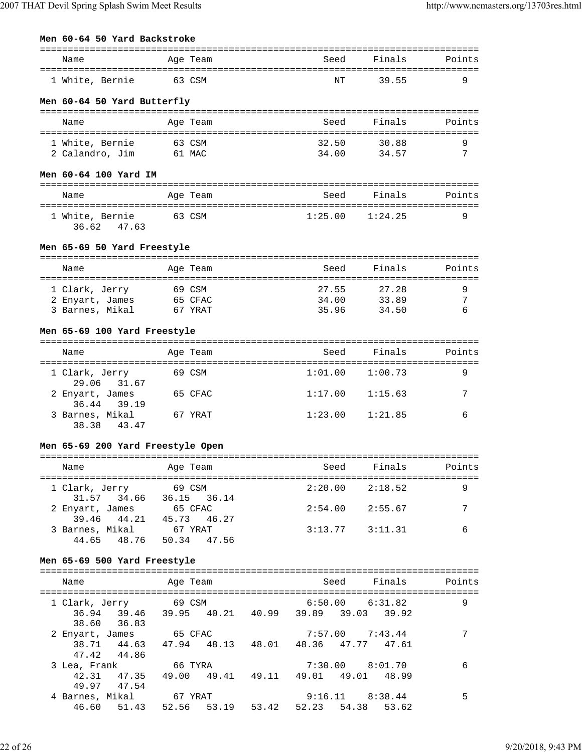| Name            |                             | Age Team | Seed | Finals | Points |
|-----------------|-----------------------------|----------|------|--------|--------|
| 1 White, Bernie |                             | 63 CSM   | NT   | 39.55  |        |
|                 | Men 60-64 50 Yard Butterfly |          |      |        |        |

| Name            | Age Team | Seed  | Finals | Points |
|-----------------|----------|-------|--------|--------|
| 1 White, Bernie | 63 CSM   | 32.50 | 30.88  |        |
| 2 Calandro, Jim | 61 MAC   | 34.00 | 34.57  | ⇁      |

#### **Men 60-64 100 Yard IM**

| Name                           | Age Team | Seed | Finals              | Points |
|--------------------------------|----------|------|---------------------|--------|
| 1 White, Bernie<br>36.62 47.63 | 63 CSM   |      | $1:25.00$ $1:24.25$ |        |

## **Men 65-69 50 Yard Freestyle**

| Name            | Age Team | Seed  | Finals | Points |
|-----------------|----------|-------|--------|--------|
| 1 Clark, Jerry  | 69 CSM   | 27.55 | 27.28  |        |
| 2 Enyart, James | 65 CFAC  | 34.00 | 33.89  | ⇁      |
| 3 Barnes, Mikal | 67 YRAT  | 35.96 | 34.50  |        |

#### **Men 65-69 100 Yard Freestyle**

| Name                           | Age Team | Seed    | Finals  | Points |
|--------------------------------|----------|---------|---------|--------|
| 1 Clark, Jerry<br>29.06 31.67  | 69 CSM   | 1:01.00 | 1:00.73 | 9      |
| 2 Enyart, James<br>36.44 39.19 | 65 CFAC  | 1:17.00 | 1:15.63 | 7      |
| 3 Barnes, Mikal<br>38.38 43.47 | 67 YRAT  | 1:23.00 | 1:21.85 | 6      |

#### **Men 65-69 200 Yard Freestyle Open**

## ===============================================================================

| Name            | Age Team                |             | Seed    | Finals              | Points |
|-----------------|-------------------------|-------------|---------|---------------------|--------|
| 1 Clark, Jerry  | 69 CSM                  |             |         | $2:20.00$ $2:18.52$ |        |
|                 | 31.57 34.66 36.15 36.14 |             |         |                     |        |
| 2 Enyart, James | 65 CFAC                 |             |         | $2:54.00$ $2:55.67$ |        |
| 39.46 44.21     |                         | 45.73 46.27 |         |                     |        |
| 3 Barnes, Mikal | 67 YRAT                 |             | 3:13.77 | 3:11.31             |        |
| 44.65 48.76     |                         | 50.34 47.56 |         |                     |        |

#### **Men 65-69 500 Yard Freestyle**

| Name                  |                                                 | Age Team               |       |       |             | Seed | Finals                                         | Points |
|-----------------------|-------------------------------------------------|------------------------|-------|-------|-------------|------|------------------------------------------------|--------|
| 1 Clark, Jerry 69 CSM | 36.94 39.46 39.95 40.21 40.99 39.89 39.03 39.92 |                        |       |       |             |      | $6:50.00$ $6:31.82$                            | 9      |
| 2 Enyart, James       | 38.60 36.83<br>38.71 44.63 47.94 48.13          | 65 CFAC                |       |       |             |      | $7:57.00$ $7:43.44$<br>48.01 48.36 47.77 47.61 | 7      |
| 3 Lea, Frank          | 47.42 44.86<br>42.31 47.35                      | 66 TYRA<br>49.00 49.41 |       |       |             |      | $7:30.00$ $8:01.70$<br>49.11 49.01 49.01 48.99 | 6      |
| 4 Barnes, Mikal       | 49.97 47.54<br>46.60 51.43                      | 67 YRAT<br>52.56       | 53.19 | 53.42 | 52.23 54.38 |      | $9:16.11$ $8:38.44$<br>53.62                   | 5      |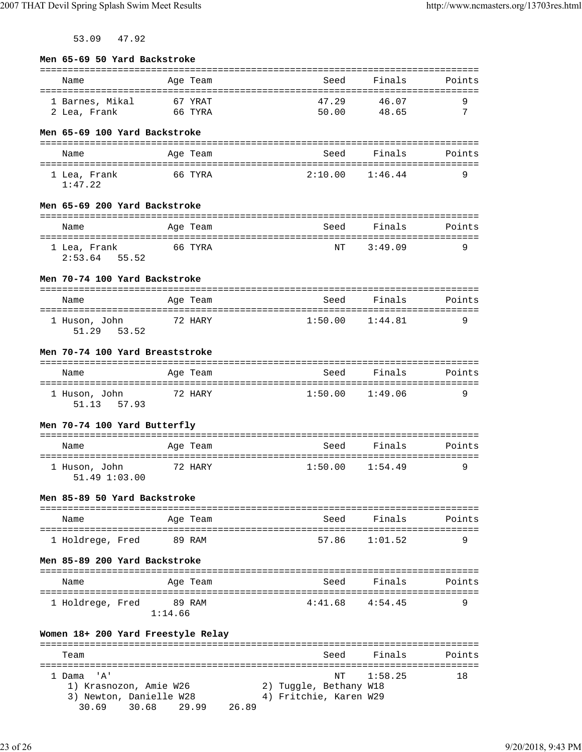53.09 47.92

| Men 65-69 50 Yard Backstroke                                                                                                |                    |                                                                                      |                       |        |
|-----------------------------------------------------------------------------------------------------------------------------|--------------------|--------------------------------------------------------------------------------------|-----------------------|--------|
| Name                                                                                                                        | Age Team           | Seed                                                                                 | Finals                | Points |
| 1 Barnes, Mikal<br>2 Lea, Frank                                                                                             | 67 YRAT<br>66 TYRA | 47.29<br>50.00                                                                       | 46.07<br>48.65        | 9<br>7 |
| Men 65-69 100 Yard Backstroke                                                                                               |                    |                                                                                      |                       |        |
| Name                                                                                                                        | Age Team           | Seed                                                                                 | Finals                | Points |
| 1 Lea, Frank<br>1:47.22                                                                                                     | 66 TYRA            | 2:10.00                                                                              | 1:46.44               | 9      |
| Men 65-69 200 Yard Backstroke                                                                                               |                    |                                                                                      |                       |        |
| Name                                                                                                                        | Age Team           | Seed                                                                                 | Finals                | Points |
| 1 Lea, Frank<br>$2:53.64$ 55.52                                                                                             | 66 TYRA            | NΤ                                                                                   | 3:49.09               | 9      |
| Men 70-74 100 Yard Backstroke                                                                                               |                    |                                                                                      |                       |        |
| Name                                                                                                                        | Age Team           | Seed                                                                                 | Finals                | Points |
| 1 Huson, John<br>51.29 53.52                                                                                                | 72 HARY            | 1:50.00                                                                              | 1:44.81               | 9      |
| Men 70-74 100 Yard Breaststroke                                                                                             |                    |                                                                                      |                       |        |
| Name                                                                                                                        | Age Team           | Seed                                                                                 | Finals                | Points |
| 1 Huson, John 72 HARY<br>51.13 57.93                                                                                        |                    |                                                                                      | $1:50.00$ $1:49.06$   | 9      |
| Men 70-74 100 Yard Butterfly                                                                                                |                    |                                                                                      |                       |        |
| Name                                                                                                                        | Age Team           | Seed                                                                                 | Finals                | Points |
| 1 Huson, John<br>51.49 1:03.00                                                                                              | 72 HARY            | 1:50.00                                                                              | 1:54.49               | 9      |
| Men 85-89 50 Yard Backstroke                                                                                                |                    |                                                                                      |                       |        |
| Name                                                                                                                        | Age Team           |                                                                                      | Seed Finals           | Points |
| 1 Holdrege, Fred                                                                                                            | 89 RAM             | 57.86                                                                                | 1:01.52               | 9      |
| Men 85-89 200 Yard Backstroke                                                                                               |                    |                                                                                      |                       |        |
| Name                                                                                                                        | Age Team           | Seed                                                                                 | Finals                | Points |
| 1 Holdrege, Fred                                                                                                            | 89 RAM<br>1:14.66  | 4:41.68                                                                              | 4:54.45               | 9      |
| Women 18+ 200 Yard Freestyle Relay                                                                                          |                    |                                                                                      |                       |        |
| Team                                                                                                                        |                    | Seed                                                                                 | Finals                | Points |
| ;=====================================<br>1 Dama 'A'<br>1) Krasnozon, Amie W26<br>3) Newton, Danielle W28<br>30.69<br>30.68 | 29.99              | =================<br>NΤ<br>2) Tuggle, Bethany W18<br>4) Fritchie, Karen W29<br>26.89 | ==========<br>1:58.25 | 18     |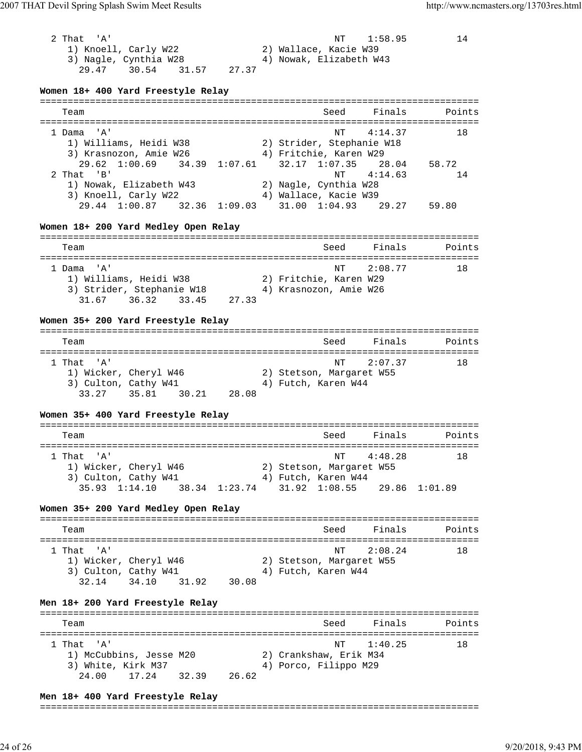| 2 That 'A'<br>1) Knoell, Carly W22<br>3) Nagle, Cynthia W28<br>29.47 30.54<br>31.57<br>27.37<br>Women 18+ 400 Yard Freestyle Relay                                         | NΤ<br>1:58.95<br>2) Wallace, Kacie W39<br>4) Nowak, Elizabeth W43                                  | 14          |
|----------------------------------------------------------------------------------------------------------------------------------------------------------------------------|----------------------------------------------------------------------------------------------------|-------------|
| Team                                                                                                                                                                       | =============================<br>Finals<br>Seed                                                    | Points      |
| 1 Dama 'A'<br>1) Williams, Heidi W38                                                                                                                                       | 4:14.37<br>NΤ<br>2) Strider, Stephanie W18                                                         | 18          |
| 3) Krasnozon, Amie W26<br>29.62<br>$1:00.69$ $34.39$ $1:07.61$<br>2 That 'B'<br>1) Nowak, Elizabeth W43                                                                    | 4) Fritchie, Karen W29<br>$32.17 \quad 1:07.35$<br>28.04<br>4:14.63<br>NΤ<br>2) Nagle, Cynthia W28 | 58.72<br>14 |
| 3) Knoell, Carly W22<br>29.44 1:00.87 32.36 1:09.03 31.00 1:04.93 29.27                                                                                                    | 4) Wallace, Kacie W39                                                                              | 59.80       |
| Women 18+ 200 Yard Medley Open Relay                                                                                                                                       |                                                                                                    |             |
| Team                                                                                                                                                                       | Finals<br>Seed                                                                                     | Points      |
| 1 Dama 'A'<br>1) Williams, Heidi W38<br>3) Strider, Stephanie W18<br>31.67 36.32 33.45 27.33                                                                               | NΤ<br>2:08.77<br>2) Fritchie, Karen W29<br>4) Krasnozon, Amie W26                                  | 18          |
| Women 35+ 200 Yard Freestyle Relay                                                                                                                                         |                                                                                                    |             |
| Team                                                                                                                                                                       | Seed<br>Finals                                                                                     | Points      |
| 1 That 'A'<br>$\begin{array}{l} -1, \text{ output } \texttt{W46} \\ \text{3) \text{ Culton, } } \texttt{Cathy W41} \\ \text{33.27} \end{array}$<br>33.27 35.81 30.21 28.08 | NΤ<br>2:07.37<br>2) Stetson, Margaret W55<br>4) Futch, Karen W44                                   | 18          |
| Women 35+ 400 Yard Freestyle Relay                                                                                                                                         |                                                                                                    |             |
| Team                                                                                                                                                                       | Seed<br>Finals                                                                                     | Points      |
| 1 That 'A'<br>1) Wicker, Cheryl W46<br>3) Culton, Cathy W41                                                                                                                | NT 4:48.28<br>2) Stetson, Margaret W55<br>4) Futch, Karen W44                                      | 18          |
| 35.93 1:14.10<br>38.34 1:23.74 31.92 1:08.55                                                                                                                               | 29.86 1:01.89                                                                                      |             |
| Women 35+ 200 Yard Medley Open Relay                                                                                                                                       |                                                                                                    |             |
| Team                                                                                                                                                                       | Seed<br>Finals                                                                                     | Points      |
| 1 That 'A'<br>1) Wicker, Cheryl W46<br>3) Culton, Cathy W41<br>31.92<br>32.14 34.10<br>30.08                                                                               | 2:08.24<br>NΤ<br>2) Stetson, Margaret W55<br>4) Futch, Karen W44                                   | 18          |
| Men 18+ 200 Yard Freestyle Relay                                                                                                                                           |                                                                                                    |             |
| Team                                                                                                                                                                       | Finals<br>Seed                                                                                     | Points      |
| 1 That<br>" A "<br>1) McCubbins, Jesse M20<br>3) White, Kirk M37<br>24.00<br>17.24<br>32.39<br>26.62                                                                       | 1:40.25<br>NΤ<br>2) Crankshaw, Erik M34<br>4) Porco, Filippo M29                                   | 18          |

#### **Men 18+ 400 Yard Freestyle Relay**

#### ===============================================================================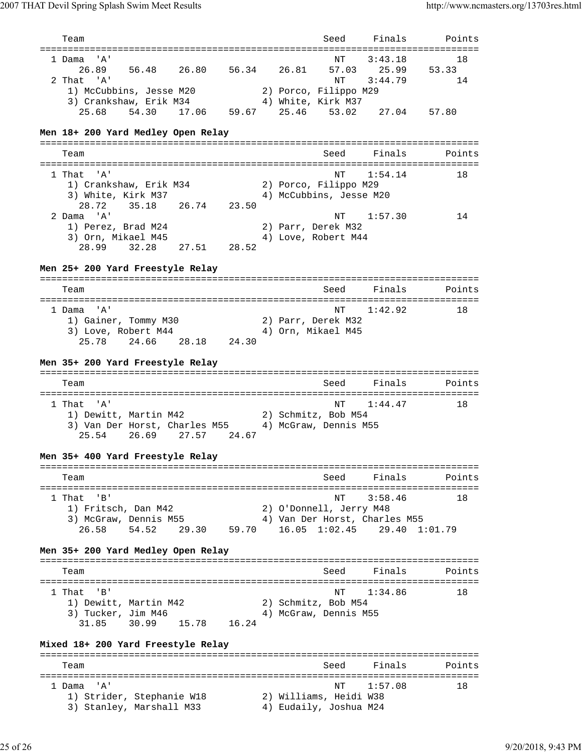| Team                                                                                          |  | Seed                                                                                                  | Finals                      | Points            |
|-----------------------------------------------------------------------------------------------|--|-------------------------------------------------------------------------------------------------------|-----------------------------|-------------------|
| 1 Dama 'A'<br>26.89<br>56.48<br>26.80<br>2 That 'A'<br>1) McCubbins, Jesse M20                |  | NΤ<br>56.34 26.81 57.03<br>NΤ<br>2) Porco, Filippo M29                                                | 3:43.18<br>25.99<br>3:44.79 | 18<br>53.33<br>14 |
| 3) Crankshaw, Erik M34<br>25.68 54.30 17.06 59.67 25.46 53.02 27.04 57.80                     |  | 4) White, Kirk M37                                                                                    |                             |                   |
| Men 18+ 200 Yard Medley Open Relay                                                            |  |                                                                                                       |                             |                   |
| Team                                                                                          |  | Seed                                                                                                  | Finals                      | Points            |
| 1 That 'A'<br>1) Crankshaw, Erik M34<br>3) White, Kirk M37<br>35.18 26.74<br>23.50<br>28.72   |  | NΤ<br>2) Porco, Filippo M29<br>4) McCubbins, Jesse M20                                                | 1:54.14                     | 18                |
| 2 Dama 'A'<br>1) Perez, Brad M24<br>3) Orn, Mikael M45<br>28.99 32.28 27.51 28.52             |  | NT<br>2) Parr, Derek M32<br>4) Love, Robert M44                                                       | 1:57.30                     | 14                |
| Men 25+ 200 Yard Freestyle Relay                                                              |  |                                                                                                       |                             |                   |
| Team                                                                                          |  | Seed                                                                                                  | Finals                      | Points            |
| 1 Dama 'A'<br>1) Gainer, Tommy M30<br>3) Love, Robert M44<br>25.78 24.66 28.18 24.30          |  | ΝT<br>2) Parr, Derek M32<br>4) Orn, Mikael M45                                                        | 1:42.92                     | 18                |
| Men 35+ 200 Yard Freestyle Relay                                                              |  |                                                                                                       |                             |                   |
| Team                                                                                          |  | Seed                                                                                                  | Finals                      | Points            |
| 1 That 'A'<br>1) Dewitt, Martin M42<br>3) Van Der Horst, Charles M55                          |  | NT<br>2) Schmitz, Bob M54<br>4) McGraw, Dennis M55                                                    | 1:44.47                     | 18                |
| 24.67<br>25.54<br>26.69 27.57                                                                 |  |                                                                                                       |                             |                   |
| Men 35+ 400 Yard Freestyle Relay                                                              |  |                                                                                                       |                             |                   |
| Team                                                                                          |  |                                                                                                       | Seed Finals                 | Points            |
| $1$ That $'B'$<br>1) Fritsch, Dan M42<br>3) McGraw, Dennis M55<br>26.58 54.52<br>29.30 59.70  |  | NT<br>2) O'Donnell, Jerry M48<br>4) Van Der Horst, Charles M55<br>$16.05$ $1:02.45$ $29.40$ $1:01.79$ | 3:58.46                     | 18                |
| Men 35+ 200 Yard Medley Open Relay                                                            |  |                                                                                                       |                             |                   |
| Team                                                                                          |  | Seed                                                                                                  | Finals                      | Points            |
| 1 That 'B'<br>1) Dewitt, Martin M42<br>3) Tucker, Jim M46<br>30.99<br>16.24<br>31.85<br>15.78 |  | NT<br>2) Schmitz, Bob M54<br>4) McGraw, Dennis M55                                                    | 1:34.86                     | 18                |
| Mixed 18+ 200 Yard Freestyle Relay<br>Team                                                    |  | Seed                                                                                                  | Finals                      | Points            |